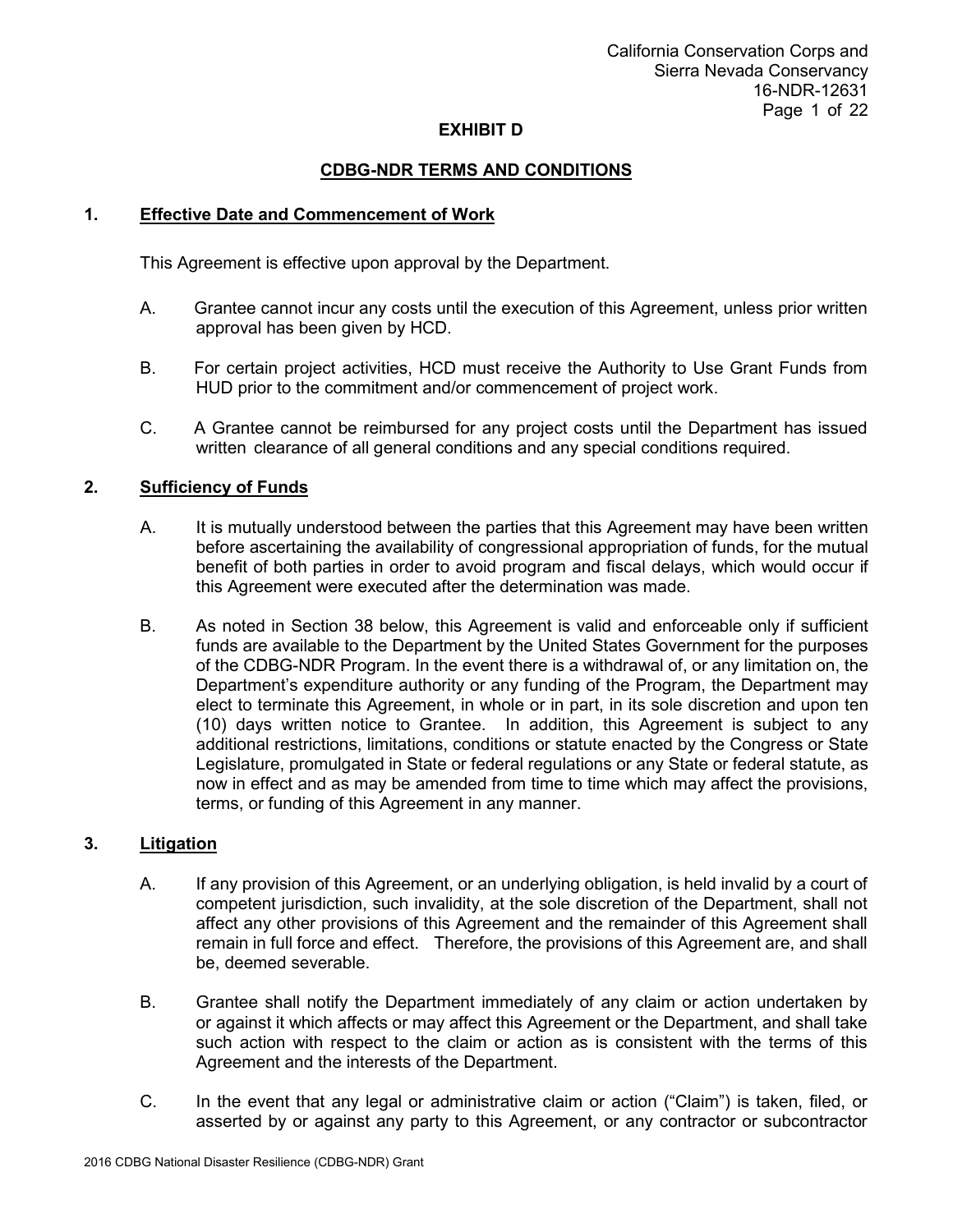## **CDBG-NDR TERMS AND CONDITIONS**

### **1. Effective Date and Commencement of Work**

This Agreement is effective upon approval by the Department.

- A. Grantee cannot incur any costs until the execution of this Agreement, unless prior written approval has been given by HCD.
- B. For certain project activities, HCD must receive the Authority to Use Grant Funds from HUD prior to the commitment and/or commencement of project work.
- C. A Grantee cannot be reimbursed for any project costs until the Department has issued written clearance of all general conditions and any special conditions required.

## **2. Sufficiency of Funds**

- A. It is mutually understood between the parties that this Agreement may have been written before ascertaining the availability of congressional appropriation of funds, for the mutual benefit of both parties in order to avoid program and fiscal delays, which would occur if this Agreement were executed after the determination was made.
- B. As noted in Section 38 below, this Agreement is valid and enforceable only if sufficient funds are available to the Department by the United States Government for the purposes of the CDBG-NDR Program. In the event there is a withdrawal of, or any limitation on, the Department's expenditure authority or any funding of the Program, the Department may elect to terminate this Agreement, in whole or in part, in its sole discretion and upon ten (10) days written notice to Grantee. In addition, this Agreement is subject to any additional restrictions, limitations, conditions or statute enacted by the Congress or State Legislature, promulgated in State or federal regulations or any State or federal statute, as now in effect and as may be amended from time to time which may affect the provisions, terms, or funding of this Agreement in any manner.

## **3. Litigation**

- A. If any provision of this Agreement, or an underlying obligation, is held invalid by a court of competent jurisdiction, such invalidity, at the sole discretion of the Department, shall not affect any other provisions of this Agreement and the remainder of this Agreement shall remain in full force and effect. Therefore, the provisions of this Agreement are, and shall be, deemed severable.
- B. Grantee shall notify the Department immediately of any claim or action undertaken by or against it which affects or may affect this Agreement or the Department, and shall take such action with respect to the claim or action as is consistent with the terms of this Agreement and the interests of the Department.
- C. In the event that any legal or administrative claim or action ("Claim") is taken, filed, or asserted by or against any party to this Agreement, or any contractor or subcontractor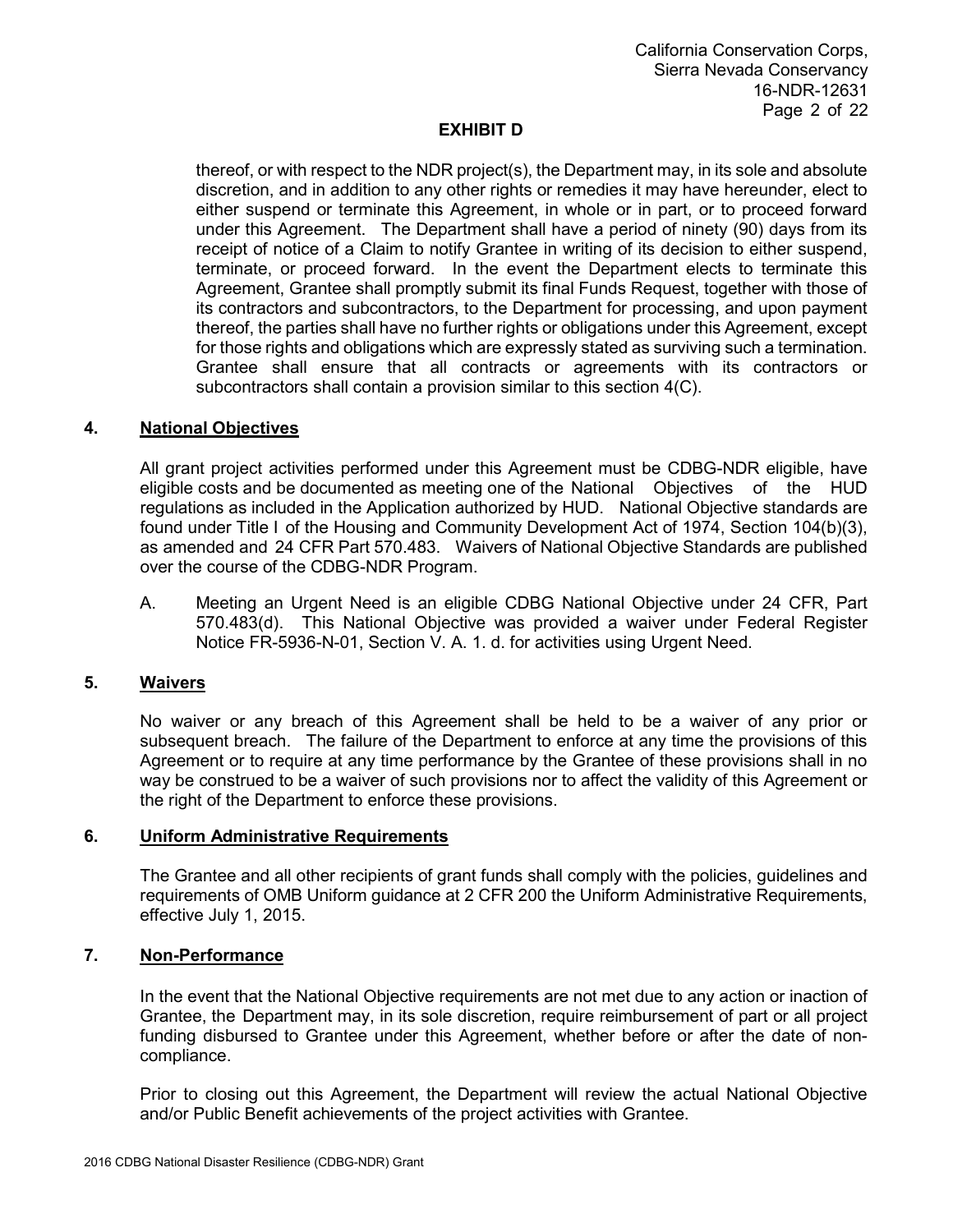thereof, or with respect to the NDR project(s), the Department may, in its sole and absolute discretion, and in addition to any other rights or remedies it may have hereunder, elect to either suspend or terminate this Agreement, in whole or in part, or to proceed forward under this Agreement. The Department shall have a period of ninety (90) days from its receipt of notice of a Claim to notify Grantee in writing of its decision to either suspend, terminate, or proceed forward. In the event the Department elects to terminate this Agreement, Grantee shall promptly submit its final Funds Request, together with those of its contractors and subcontractors, to the Department for processing, and upon payment thereof, the parties shall have no further rights or obligations under this Agreement, except for those rights and obligations which are expressly stated as surviving such a termination. Grantee shall ensure that all contracts or agreements with its contractors or subcontractors shall contain a provision similar to this section 4(C).

### **4. National Objectives**

All grant project activities performed under this Agreement must be CDBG-NDR eligible, have eligible costs and be documented as meeting one of the National Objectives of the HUD regulations as included in the Application authorized by HUD. National Objective standards are found under Title I of the Housing and Community Development Act of 1974, Section 104(b)(3), as amended and 24 CFR Part 570.483. Waivers of National Objective Standards are published over the course of the CDBG-NDR Program.

A. Meeting an Urgent Need is an eligible CDBG National Objective under 24 CFR, Part 570.483(d). This National Objective was provided a waiver under Federal Register Notice FR-5936-N-01, Section V. A. 1. d. for activities using Urgent Need.

## **5. Waivers**

No waiver or any breach of this Agreement shall be held to be a waiver of any prior or subsequent breach. The failure of the Department to enforce at any time the provisions of this Agreement or to require at any time performance by the Grantee of these provisions shall in no way be construed to be a waiver of such provisions nor to affect the validity of this Agreement or the right of the Department to enforce these provisions.

#### **6. Uniform Administrative Requirements**

The Grantee and all other recipients of grant funds shall comply with the policies, guidelines and requirements of OMB Uniform guidance at 2 CFR 200 the Uniform Administrative Requirements, effective July 1, 2015.

## **7. Non-Performance**

In the event that the National Objective requirements are not met due to any action or inaction of Grantee, the Department may, in its sole discretion, require reimbursement of part or all project funding disbursed to Grantee under this Agreement, whether before or after the date of noncompliance.

Prior to closing out this Agreement, the Department will review the actual National Objective and/or Public Benefit achievements of the project activities with Grantee.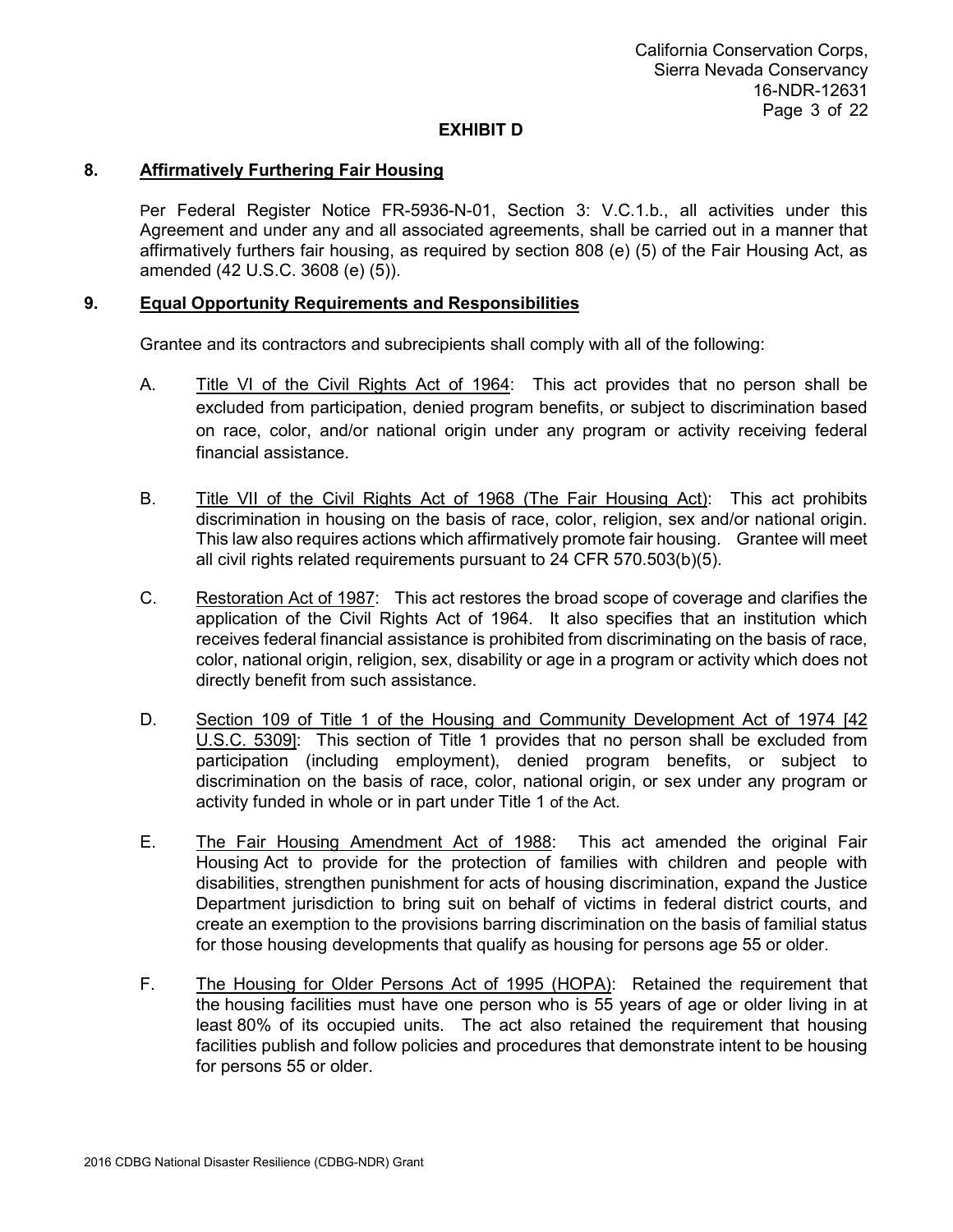### **8. Affirmatively Furthering Fair Housing**

Per Federal Register Notice FR-5936-N-01, Section 3: V.C.1.b., all activities under this Agreement and under any and all associated agreements, shall be carried out in a manner that affirmatively furthers fair housing, as required by section 808 (e) (5) of the Fair Housing Act, as amended (42 U.S.C. 3608 (e) (5)).

#### **9. Equal Opportunity Requirements and Responsibilities**

Grantee and its contractors and subrecipients shall comply with all of the following:

- A. Title VI of the Civil Rights Act of 1964: This act provides that no person shall be excluded from participation, denied program benefits, or subject to discrimination based on race, color, and/or national origin under any program or activity receiving federal financial assistance.
- B. Title VII of the Civil Rights Act of 1968 (The Fair Housing Act): This act prohibits discrimination in housing on the basis of race, color, religion, sex and/or national origin. This law also requires actions which affirmatively promote fair housing. Grantee will meet all civil rights related requirements pursuant to 24 CFR 570.503(b)(5).
- C. Restoration Act of 1987: This act restores the broad scope of coverage and clarifies the application of the Civil Rights Act of 1964. It also specifies that an institution which receives federal financial assistance is prohibited from discriminating on the basis of race, color, national origin, religion, sex, disability or age in a program or activity which does not directly benefit from such assistance.
- D. Section 109 of Title 1 of the Housing and Community Development Act of 1974 [42 U.S.C. 5309]: This section of Title 1 provides that no person shall be excluded from participation (including employment), denied program benefits, or subject to discrimination on the basis of race, color, national origin, or sex under any program or activity funded in whole or in part under Title 1 of the Act.
- E. The Fair Housing Amendment Act of 1988: This act amended the original Fair Housing Act to provide for the protection of families with children and people with disabilities, strengthen punishment for acts of housing discrimination, expand the Justice Department jurisdiction to bring suit on behalf of victims in federal district courts, and create an exemption to the provisions barring discrimination on the basis of familial status for those housing developments that qualify as housing for persons age 55 or older.
- F. The Housing for Older Persons Act of 1995 (HOPA): Retained the requirement that the housing facilities must have one person who is 55 years of age or older living in at least 80% of its occupied units. The act also retained the requirement that housing facilities publish and follow policies and procedures that demonstrate intent to be housing for persons 55 or older.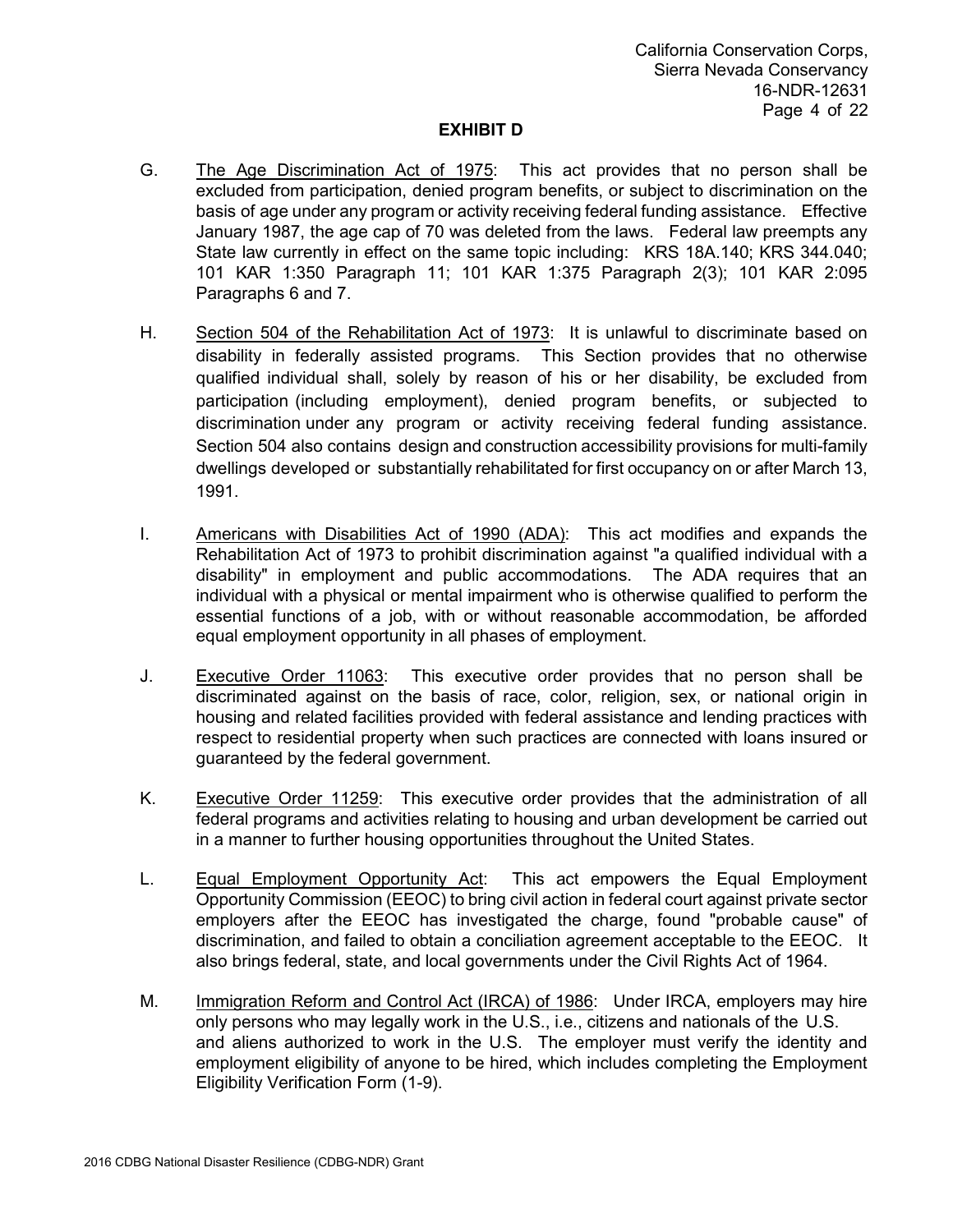- G. The Age Discrimination Act of 1975: This act provides that no person shall be excluded from participation, denied program benefits, or subject to discrimination on the basis of age under any program or activity receiving federal funding assistance. Effective January 1987, the age cap of 70 was deleted from the laws. Federal law preempts any State law currently in effect on the same topic including: KRS 18A.140; KRS 344.040; 101 KAR 1:350 Paragraph 11; 101 KAR 1:375 Paragraph 2(3); 101 KAR 2:095 Paragraphs 6 and 7.
- H. Section 504 of the Rehabilitation Act of 1973: It is unlawful to discriminate based on disability in federally assisted programs. This Section provides that no otherwise qualified individual shall, solely by reason of his or her disability, be excluded from participation (including employment), denied program benefits, or subjected to discrimination under any program or activity receiving federal funding assistance. Section 504 also contains design and construction accessibility provisions for multi-family dwellings developed or substantially rehabilitated for first occupancy on or after March 13, 1991.
- I. Americans with Disabilities Act of 1990 (ADA): This act modifies and expands the Rehabilitation Act of 1973 to prohibit discrimination against "a qualified individual with a disability" in employment and public accommodations. The ADA requires that an individual with a physical or mental impairment who is otherwise qualified to perform the essential functions of a job, with or without reasonable accommodation, be afforded equal employment opportunity in all phases of employment.
- J. Executive Order 11063: This executive order provides that no person shall be discriminated against on the basis of race, color, religion, sex, or national origin in housing and related facilities provided with federal assistance and lending practices with respect to residential property when such practices are connected with loans insured or guaranteed by the federal government.
- K. Executive Order 11259: This executive order provides that the administration of all federal programs and activities relating to housing and urban development be carried out in a manner to further housing opportunities throughout the United States.
- L. Equal Employment Opportunity Act: This act empowers the Equal Employment Opportunity Commission (EEOC) to bring civil action in federal court against private sector employers after the EEOC has investigated the charge, found "probable cause" of discrimination, and failed to obtain a conciliation agreement acceptable to the EEOC. It also brings federal, state, and local governments under the Civil Rights Act of 1964.
- M. Immigration Reform and Control Act (IRCA) of 1986: Under IRCA, employers may hire only persons who may legally work in the U.S., i.e., citizens and nationals of the U.S. and aliens authorized to work in the U.S. The employer must verify the identity and employment eligibility of anyone to be hired, which includes completing the Employment Eligibility Verification Form (1-9).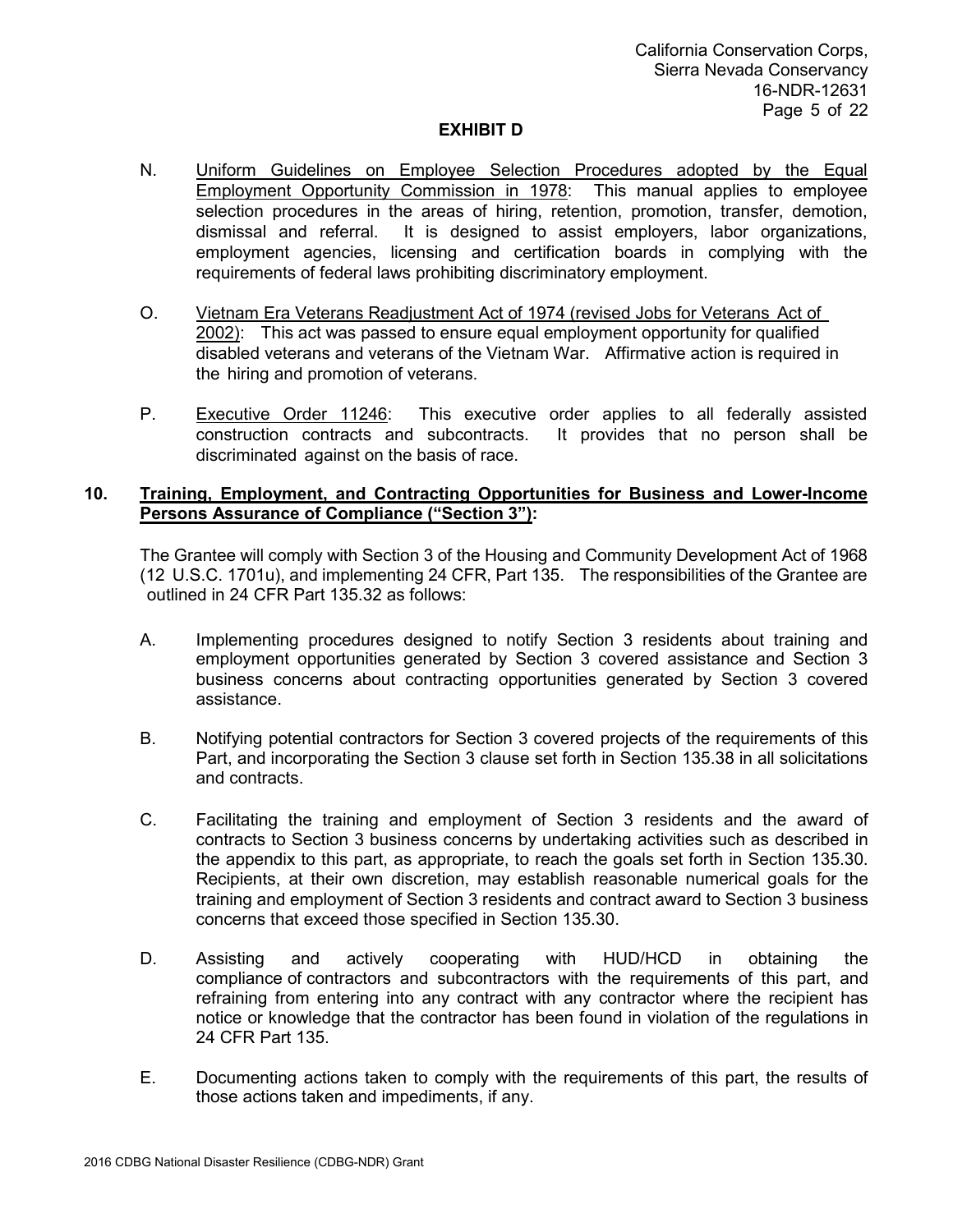- N. Uniform Guidelines on Employee Selection Procedures adopted by the Equal Employment Opportunity Commission in 1978: This manual applies to employee selection procedures in the areas of hiring, retention, promotion, transfer, demotion, dismissal and referral. It is designed to assist employers, labor organizations, employment agencies, licensing and certification boards in complying with the requirements of federal laws prohibiting discriminatory employment.
- O. Vietnam Era Veterans Readjustment Act of 1974 (revised Jobs for Veterans Act of 2002):This act was passed to ensure equal employment opportunity for qualified disabled veterans and veterans of the Vietnam War. Affirmative action is required in the hiring and promotion of veterans.
- P. Executive Order 11246: This executive order applies to all federally assisted construction contracts and subcontracts. It provides that no person shall be discriminated against on the basis of race.

## **10. Training, Employment, and Contracting Opportunities for Business and Lower-Income Persons Assurance of Compliance ("Section 3"):**

The Grantee will comply with Section 3 of the Housing and Community Development Act of 1968 (12 U.S.C. 1701u), and implementing 24 CFR, Part 135. The responsibilities of the Grantee are outlined in 24 CFR Part 135.32 as follows:

- A. Implementing procedures designed to notify Section 3 residents about training and employment opportunities generated by Section 3 covered assistance and Section 3 business concerns about contracting opportunities generated by Section 3 covered assistance.
- B. Notifying potential contractors for Section 3 covered projects of the requirements of this Part, and incorporating the Section 3 clause set forth in Section 135.38 in all solicitations and contracts.
- C. Facilitating the training and employment of Section 3 residents and the award of contracts to Section 3 business concerns by undertaking activities such as described in the appendix to this part, as appropriate, to reach the goals set forth in Section 135.30. Recipients, at their own discretion, may establish reasonable numerical goals for the training and employment of Section 3 residents and contract award to Section 3 business concerns that exceed those specified in Section 135.30.
- D. Assisting and actively cooperating with HUD/HCD in obtaining the compliance of contractors and subcontractors with the requirements of this part, and refraining from entering into any contract with any contractor where the recipient has notice or knowledge that the contractor has been found in violation of the regulations in 24 CFR Part 135.
- E. Documenting actions taken to comply with the requirements of this part, the results of those actions taken and impediments, if any.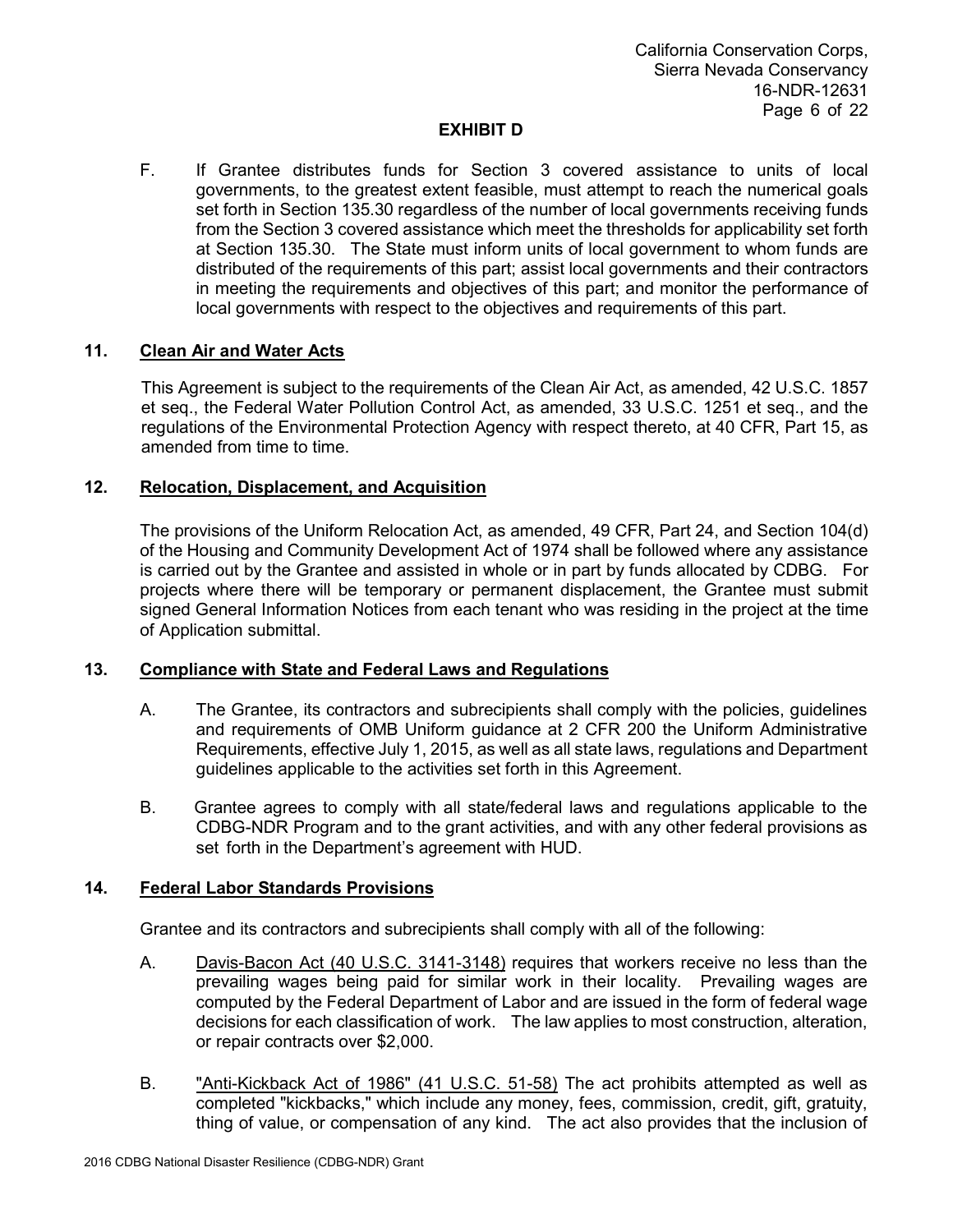F. If Grantee distributes funds for Section 3 covered assistance to units of local governments, to the greatest extent feasible, must attempt to reach the numerical goals set forth in Section 135.30 regardless of the number of local governments receiving funds from the Section 3 covered assistance which meet the thresholds for applicability set forth at Section 135.30. The State must inform units of local government to whom funds are distributed of the requirements of this part; assist local governments and their contractors in meeting the requirements and objectives of this part; and monitor the performance of local governments with respect to the objectives and requirements of this part.

## **11. Clean Air and Water Acts**

This Agreement is subject to the requirements of the Clean Air Act, as amended, 42 U.S.C. 1857 et seq., the Federal Water Pollution Control Act, as amended, 33 U.S.C. 1251 et seq., and the regulations of the Environmental Protection Agency with respect thereto, at 40 CFR, Part 15, as amended from time to time.

## **12. Relocation, Displacement, and Acquisition**

The provisions of the Uniform Relocation Act, as amended, 49 CFR, Part 24, and Section 104(d) of the Housing and Community Development Act of 1974 shall be followed where any assistance is carried out by the Grantee and assisted in whole or in part by funds allocated by CDBG. For projects where there will be temporary or permanent displacement, the Grantee must submit signed General Information Notices from each tenant who was residing in the project at the time of Application submittal.

## **13. Compliance with State and Federal Laws and Regulations**

- A. The Grantee, its contractors and subrecipients shall comply with the policies, guidelines and requirements of OMB Uniform guidance at 2 CFR 200 the Uniform Administrative Requirements, effective July 1, 2015, as well as all state laws, regulations and Department guidelines applicable to the activities set forth in this Agreement.
- B. Grantee agrees to comply with all state/federal laws and regulations applicable to the CDBG-NDR Program and to the grant activities, and with any other federal provisions as set forth in the Department's agreement with HUD.

## **14. Federal Labor Standards Provisions**

Grantee and its contractors and subrecipients shall comply with all of the following:

- A. Davis-Bacon Act (40 U.S.C. 3141-3148) requires that workers receive no less than the prevailing wages being paid for similar work in their locality. Prevailing wages are computed by the Federal Department of Labor and are issued in the form of federal wage decisions for each classification of work. The law applies to most construction, alteration, or repair contracts over \$2,000.
- B. The Tanti-Kickback Act of 1986" (41 U.S.C. 51-58) The act prohibits attempted as well as completed "kickbacks," which include any money, fees, commission, credit, gift, gratuity, thing of value, or compensation of any kind. The act also provides that the inclusion of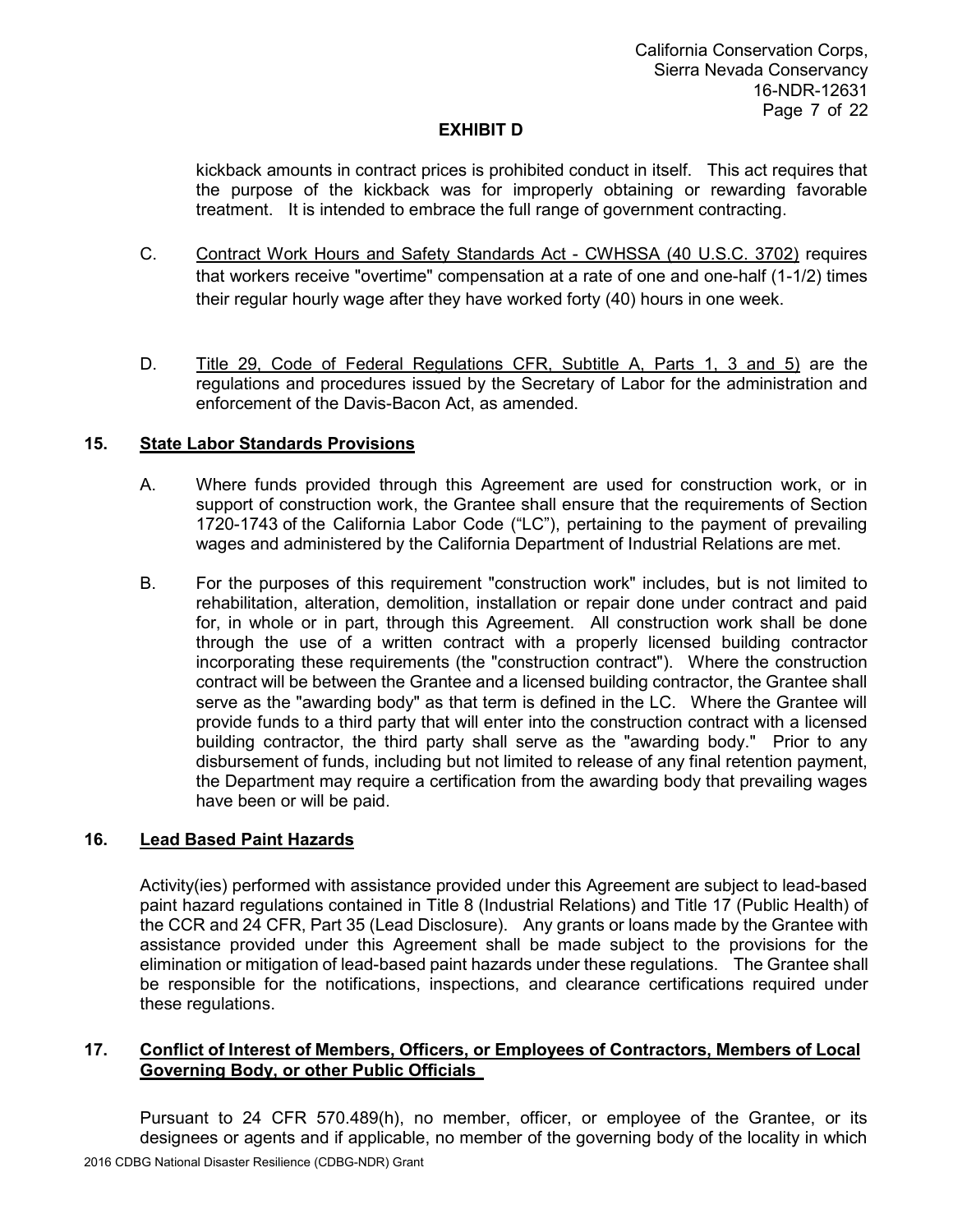kickback amounts in contract prices is prohibited conduct in itself. This act requires that the purpose of the kickback was for improperly obtaining or rewarding favorable treatment. It is intended to embrace the full range of government contracting.

- C. Contract Work Hours and Safety Standards Act CWHSSA (40 U.S.C. 3702) requires that workers receive "overtime" compensation at a rate of one and one-half (1-1/2) times their regular hourly wage after they have worked forty (40) hours in one week.
- D. Title 29, Code of Federal Regulations CFR, Subtitle A, Parts 1, 3 and 5) are the regulations and procedures issued by the Secretary of Labor for the administration and enforcement of the Davis-Bacon Act, as amended.

## **15. State Labor Standards Provisions**

- A. Where funds provided through this Agreement are used for construction work, or in support of construction work, the Grantee shall ensure that the requirements of Section 1720-1743 of the California Labor Code ("LC"), pertaining to the payment of prevailing wages and administered by the California Department of Industrial Relations are met.
- B. For the purposes of this requirement "construction work" includes, but is not limited to rehabilitation, alteration, demolition, installation or repair done under contract and paid for, in whole or in part, through this Agreement. All construction work shall be done through the use of a written contract with a properly licensed building contractor incorporating these requirements (the "construction contract"). Where the construction contract will be between the Grantee and a licensed building contractor, the Grantee shall serve as the "awarding body" as that term is defined in the LC. Where the Grantee will provide funds to a third party that will enter into the construction contract with a licensed building contractor, the third party shall serve as the "awarding body." Prior to any disbursement of funds, including but not limited to release of any final retention payment, the Department may require a certification from the awarding body that prevailing wages have been or will be paid.

# **16. Lead Based Paint Hazards**

Activity(ies) performed with assistance provided under this Agreement are subject to lead-based paint hazard regulations contained in Title 8 (Industrial Relations) and Title 17 (Public Health) of the CCR and 24 CFR, Part 35 (Lead Disclosure). Any grants or loans made by the Grantee with assistance provided under this Agreement shall be made subject to the provisions for the elimination or mitigation of lead-based paint hazards under these regulations. The Grantee shall be responsible for the notifications, inspections, and clearance certifications required under these regulations.

## **17. Conflict of Interest of Members, Officers, or Employees of Contractors, Members of Local Governing Body, or other Public Officials**

Pursuant to 24 CFR 570.489(h), no member, officer, or employee of the Grantee, or its designees or agents and if applicable, no member of the governing body of the locality in which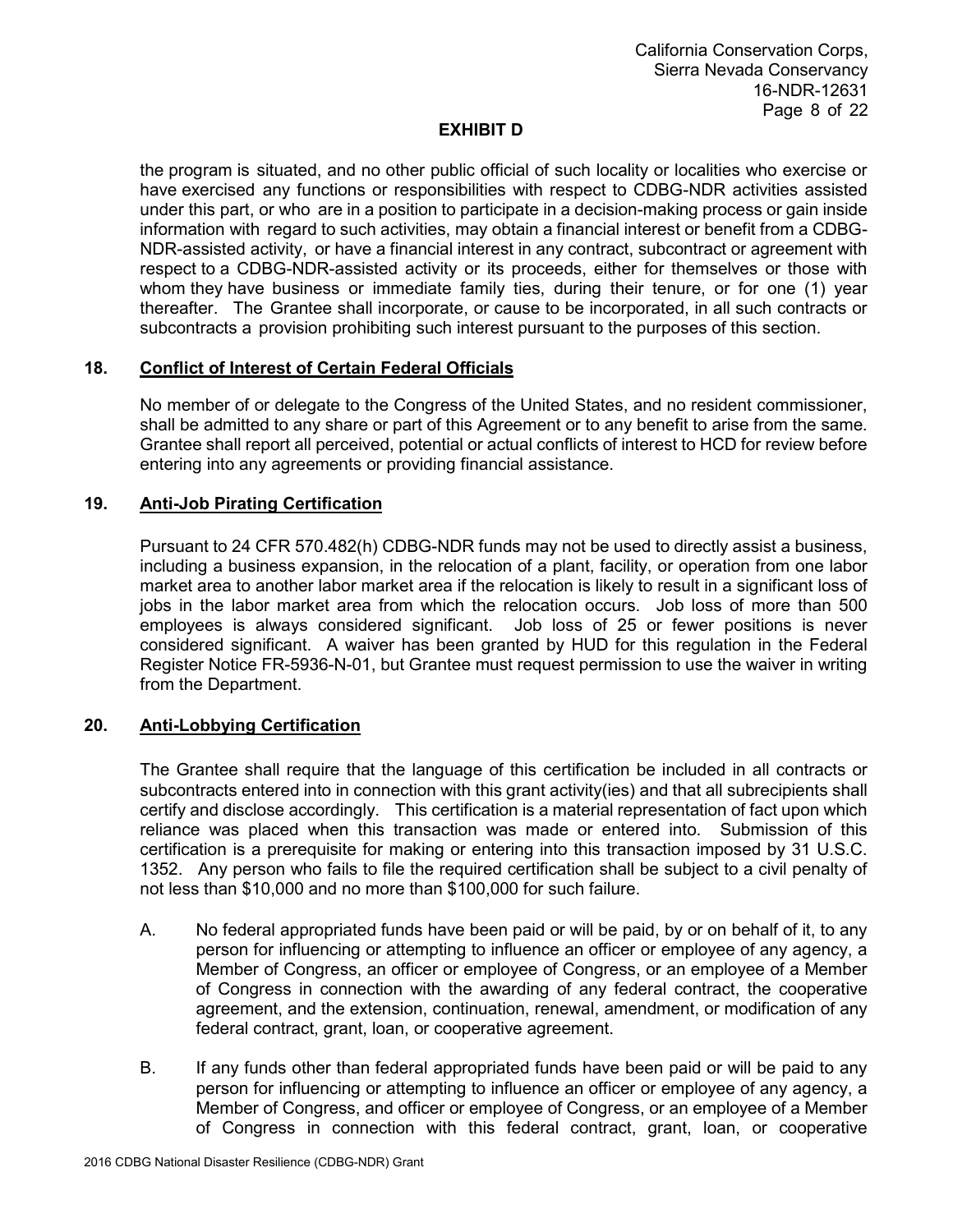the program is situated, and no other public official of such locality or localities who exercise or have exercised any functions or responsibilities with respect to CDBG-NDR activities assisted under this part, or who are in a position to participate in a decision-making process or gain inside information with regard to such activities, may obtain a financial interest or benefit from a CDBG-NDR-assisted activity, or have a financial interest in any contract, subcontract or agreement with respect to a CDBG-NDR-assisted activity or its proceeds, either for themselves or those with whom they have business or immediate family ties, during their tenure, or for one (1) year thereafter. The Grantee shall incorporate, or cause to be incorporated, in all such contracts or subcontracts a provision prohibiting such interest pursuant to the purposes of this section.

## **18. Conflict of Interest of Certain Federal Officials**

No member of or delegate to the Congress of the United States, and no resident commissioner, shall be admitted to any share or part of this Agreement or to any benefit to arise from the same. Grantee shall report all perceived, potential or actual conflicts of interest to HCD for review before entering into any agreements or providing financial assistance.

## **19. Anti-Job Pirating Certification**

Pursuant to 24 CFR 570.482(h) CDBG-NDR funds may not be used to directly assist a business, including a business expansion, in the relocation of a plant, facility, or operation from one labor market area to another labor market area if the relocation is likely to result in a significant loss of jobs in the labor market area from which the relocation occurs. Job loss of more than 500 employees is always considered significant. Job loss of 25 or fewer positions is never considered significant. A waiver has been granted by HUD for this regulation in the Federal Register Notice FR-5936-N-01, but Grantee must request permission to use the waiver in writing from the Department.

## **20. Anti-Lobbying Certification**

The Grantee shall require that the language of this certification be included in all contracts or subcontracts entered into in connection with this grant activity(ies) and that all subrecipients shall certify and disclose accordingly. This certification is a material representation of fact upon which reliance was placed when this transaction was made or entered into. Submission of this certification is a prerequisite for making or entering into this transaction imposed by 31 U.S.C. 1352. Any person who fails to file the required certification shall be subject to a civil penalty of not less than \$10,000 and no more than \$100,000 for such failure.

- A. No federal appropriated funds have been paid or will be paid, by or on behalf of it, to any person for influencing or attempting to influence an officer or employee of any agency, a Member of Congress, an officer or employee of Congress, or an employee of a Member of Congress in connection with the awarding of any federal contract, the cooperative agreement, and the extension, continuation, renewal, amendment, or modification of any federal contract, grant, loan, or cooperative agreement.
- B. If any funds other than federal appropriated funds have been paid or will be paid to any person for influencing or attempting to influence an officer or employee of any agency, a Member of Congress, and officer or employee of Congress, or an employee of a Member of Congress in connection with this federal contract, grant, loan, or cooperative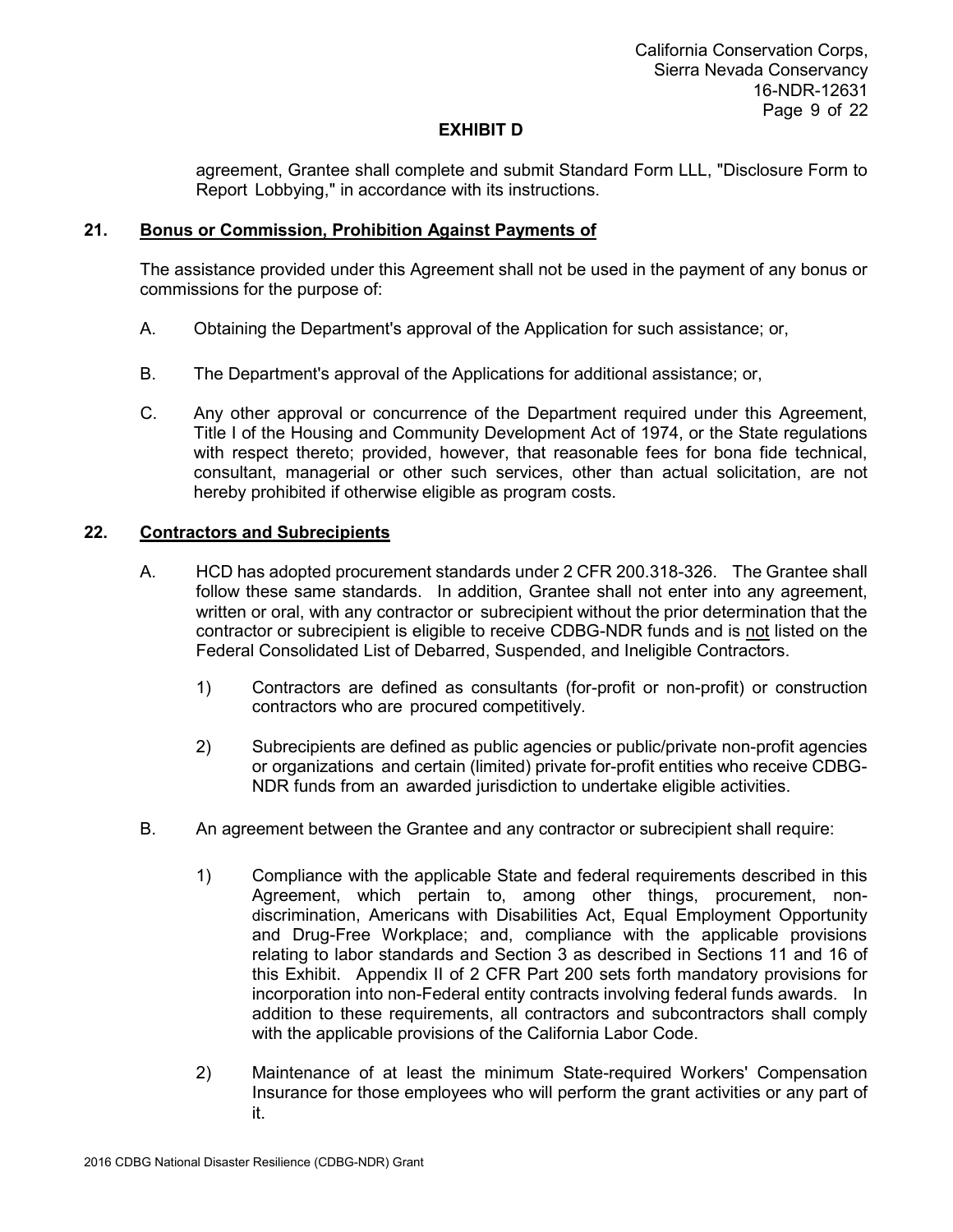agreement, Grantee shall complete and submit Standard Form LLL, "Disclosure Form to Report Lobbying," in accordance with its instructions.

### **21. Bonus or Commission, Prohibition Against Payments of**

The assistance provided under this Agreement shall not be used in the payment of any bonus or commissions for the purpose of:

- A. Obtaining the Department's approval of the Application for such assistance; or,
- B. The Department's approval of the Applications for additional assistance; or,
- C. Any other approval or concurrence of the Department required under this Agreement, Title I of the Housing and Community Development Act of 1974, or the State regulations with respect thereto; provided, however, that reasonable fees for bona fide technical, consultant, managerial or other such services, other than actual solicitation, are not hereby prohibited if otherwise eligible as program costs.

### **22. Contractors and Subrecipients**

- A. HCD has adopted procurement standards under 2 CFR 200.318-326. The Grantee shall follow these same standards. In addition, Grantee shall not enter into any agreement, written or oral, with any contractor or subrecipient without the prior determination that the contractor or subrecipient is eligible to receive CDBG-NDR funds and is not listed on the Federal Consolidated List of Debarred, Suspended, and Ineligible Contractors.
	- 1) Contractors are defined as consultants (for-profit or non-profit) or construction contractors who are procured competitively.
	- 2) Subrecipients are defined as public agencies or public/private non-profit agencies or organizations and certain (limited) private for-profit entities who receive CDBG-NDR funds from an awarded jurisdiction to undertake eligible activities.
- B. An agreement between the Grantee and any contractor or subrecipient shall require:
	- 1) Compliance with the applicable State and federal requirements described in this Agreement, which pertain to, among other things, procurement, nondiscrimination, Americans with Disabilities Act, Equal Employment Opportunity and Drug-Free Workplace; and, compliance with the applicable provisions relating to labor standards and Section 3 as described in Sections 11 and 16 of this Exhibit. Appendix II of 2 CFR Part 200 sets forth mandatory provisions for incorporation into non-Federal entity contracts involving federal funds awards. In addition to these requirements, all contractors and subcontractors shall comply with the applicable provisions of the California Labor Code.
	- 2) Maintenance of at least the minimum State-required Workers' Compensation Insurance for those employees who will perform the grant activities or any part of it.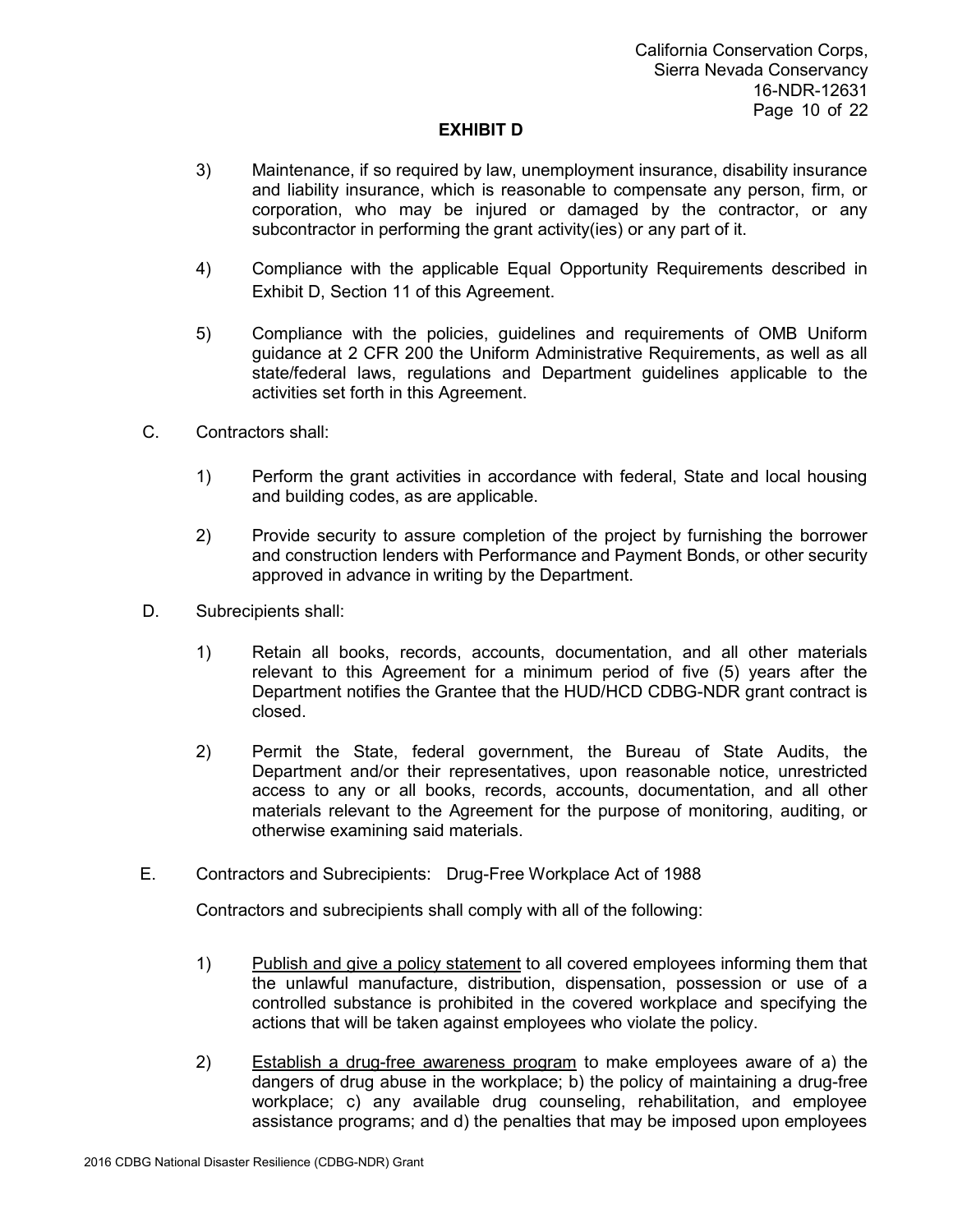- 3) Maintenance, if so required by law, unemployment insurance, disability insurance and liability insurance, which is reasonable to compensate any person, firm, or corporation, who may be injured or damaged by the contractor, or any subcontractor in performing the grant activity(ies) or any part of it.
- 4) Compliance with the applicable Equal Opportunity Requirements described in Exhibit D, Section 11 of this Agreement.
- 5) Compliance with the policies, guidelines and requirements of OMB Uniform guidance at 2 CFR 200 the Uniform Administrative Requirements, as well as all state/federal laws, regulations and Department guidelines applicable to the activities set forth in this Agreement.
- C. Contractors shall:
	- 1) Perform the grant activities in accordance with federal, State and local housing and building codes, as are applicable.
	- 2) Provide security to assure completion of the project by furnishing the borrower and construction lenders with Performance and Payment Bonds, or other security approved in advance in writing by the Department.
- D. Subrecipients shall:
	- 1) Retain all books, records, accounts, documentation, and all other materials relevant to this Agreement for a minimum period of five (5) years after the Department notifies the Grantee that the HUD/HCD CDBG-NDR grant contract is closed.
	- 2) Permit the State, federal government, the Bureau of State Audits, the Department and/or their representatives, upon reasonable notice, unrestricted access to any or all books, records, accounts, documentation, and all other materials relevant to the Agreement for the purpose of monitoring, auditing, or otherwise examining said materials.
- E. Contractors and Subrecipients: Drug-Free Workplace Act of 1988

Contractors and subrecipients shall comply with all of the following:

- 1) Publish and give a policy statement to all covered employees informing them that the unlawful manufacture, distribution, dispensation, possession or use of a controlled substance is prohibited in the covered workplace and specifying the actions that will be taken against employees who violate the policy.
- 2) Establish a drug-free awareness program to make employees aware of a) the dangers of drug abuse in the workplace; b) the policy of maintaining a drug-free workplace; c) any available drug counseling, rehabilitation, and employee assistance programs; and d) the penalties that may be imposed upon employees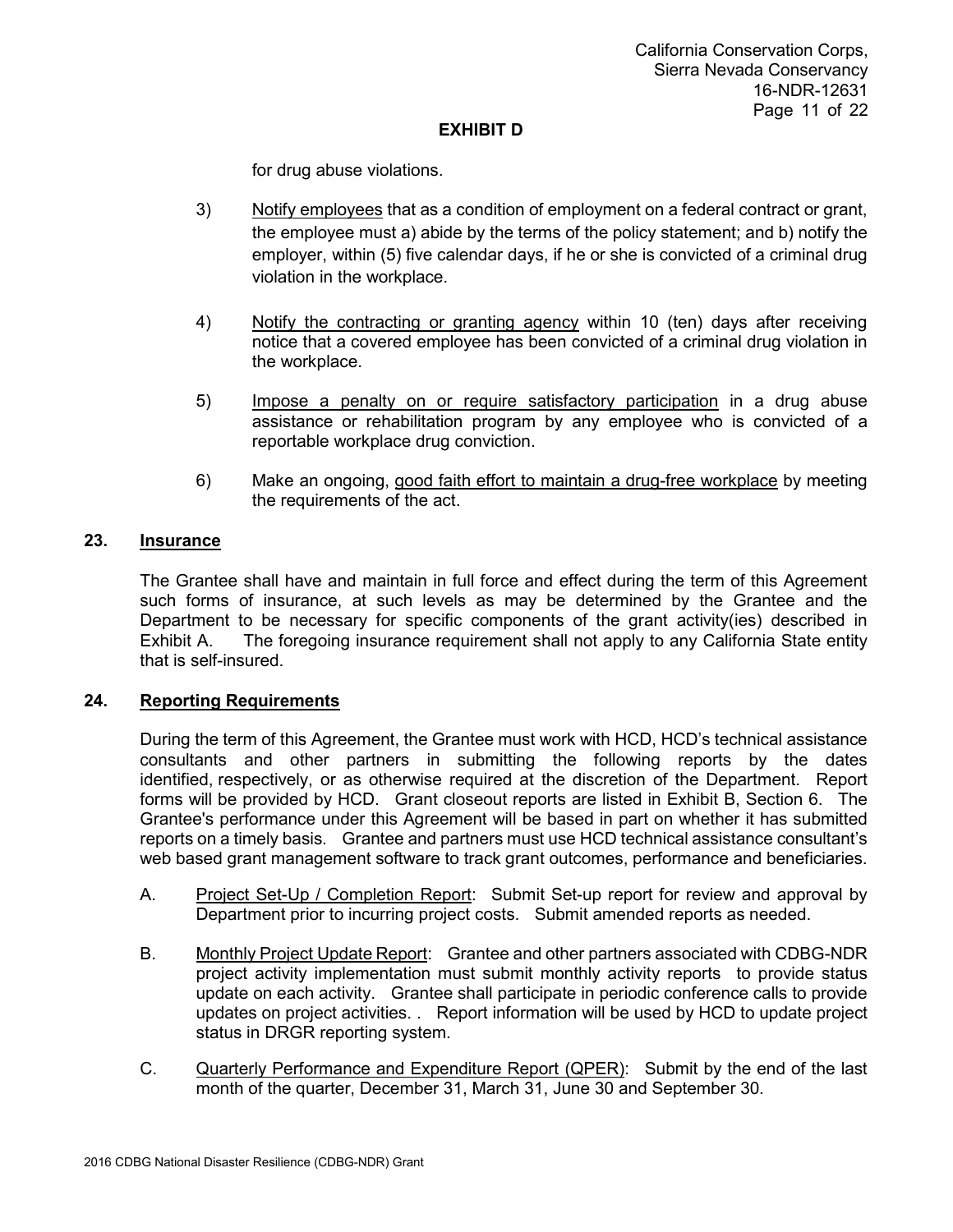for drug abuse violations.

- 3) Notify employees that as a condition of employment on a federal contract or grant, the employee must a) abide by the terms of the policy statement; and b) notify the employer, within (5) five calendar days, if he or she is convicted of a criminal drug violation in the workplace.
- 4) Notify the contracting or granting agency within 10 (ten) days after receiving notice that a covered employee has been convicted of a criminal drug violation in the workplace.
- 5) Impose a penalty on or require satisfactory participation in a drug abuse assistance or rehabilitation program by any employee who is convicted of a reportable workplace drug conviction.
- 6) Make an ongoing, good faith effort to maintain a drug-free workplace by meeting the requirements of the act.

### **23. Insurance**

The Grantee shall have and maintain in full force and effect during the term of this Agreement such forms of insurance, at such levels as may be determined by the Grantee and the Department to be necessary for specific components of the grant activity(ies) described in Exhibit A. The foregoing insurance requirement shall not apply to any California State entity that is self-insured.

#### **24. Reporting Requirements**

During the term of this Agreement, the Grantee must work with HCD, HCD's technical assistance consultants and other partners in submitting the following reports by the dates identified, respectively, or as otherwise required at the discretion of the Department. Report forms will be provided by HCD. Grant closeout reports are listed in Exhibit B, Section 6. The Grantee's performance under this Agreement will be based in part on whether it has submitted reports on a timely basis. Grantee and partners must use HCD technical assistance consultant's web based grant management software to track grant outcomes, performance and beneficiaries.

- A. Project Set-Up / Completion Report: Submit Set-up report for review and approval by Department prior to incurring project costs. Submit amended reports as needed.
- B. Monthly Project Update Report: Grantee and other partners associated with CDBG-NDR project activity implementation must submit monthly activity reports to provide status update on each activity. Grantee shall participate in periodic conference calls to provide updates on project activities. . Report information will be used by HCD to update project status in DRGR reporting system.
- C. Quarterly Performance and Expenditure Report (QPER): Submit by the end of the last month of the quarter, December 31, March 31, June 30 and September 30.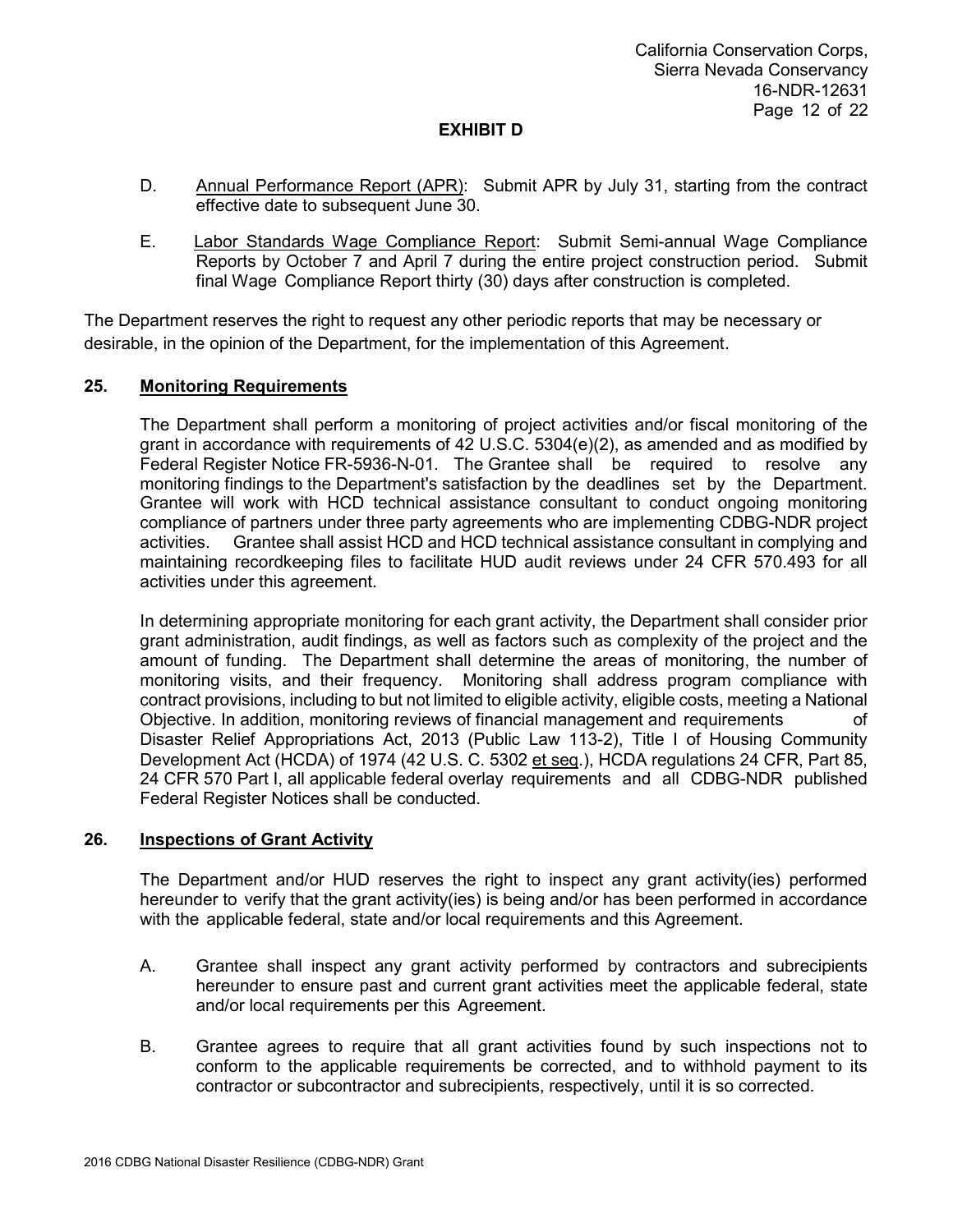- D. Annual Performance Report (APR): Submit APR by July 31, starting from the contract effective date to subsequent June 30.
- E. Labor Standards Wage Compliance Report: Submit Semi-annual Wage Compliance Reports by October 7 and April 7 during the entire project construction period. Submit final Wage Compliance Report thirty (30) days after construction is completed.

The Department reserves the right to request any other periodic reports that may be necessary or desirable, in the opinion of the Department, for the implementation of this Agreement.

### **25. Monitoring Requirements**

The Department shall perform a monitoring of project activities and/or fiscal monitoring of the grant in accordance with requirements of 42 U.S.C. 5304(e)(2), as amended and as modified by Federal Register Notice FR-5936-N-01. The Grantee shall be required to resolve any monitoring findings to the Department's satisfaction by the deadlines set by the Department. Grantee will work with HCD technical assistance consultant to conduct ongoing monitoring compliance of partners under three party agreements who are implementing CDBG-NDR project activities. Grantee shall assist HCD and HCD technical assistance consultant in complying and maintaining recordkeeping files to facilitate HUD audit reviews under 24 CFR 570.493 for all activities under this agreement.

In determining appropriate monitoring for each grant activity, the Department shall consider prior grant administration, audit findings, as well as factors such as complexity of the project and the amount of funding. The Department shall determine the areas of monitoring, the number of monitoring visits, and their frequency. Monitoring shall address program compliance with contract provisions, including to but not limited to eligible activity, eligible costs, meeting a National Objective. In addition, monitoring reviews of financial management and requirements of Disaster Relief Appropriations Act, 2013 (Public Law 113-2), Title I of Housing Community Development Act (HCDA) of 1974 (42 U.S. C. 5302 et seq.), HCDA regulations 24 CFR, Part 85, 24 CFR 570 Part I, all applicable federal overlay requirements and all CDBG-NDR published Federal Register Notices shall be conducted.

#### **26. Inspections of Grant Activity**

The Department and/or HUD reserves the right to inspect any grant activity(ies) performed hereunder to verify that the grant activity(ies) is being and/or has been performed in accordance with the applicable federal, state and/or local requirements and this Agreement.

- A. Grantee shall inspect any grant activity performed by contractors and subrecipients hereunder to ensure past and current grant activities meet the applicable federal, state and/or local requirements per this Agreement.
- B. Grantee agrees to require that all grant activities found by such inspections not to conform to the applicable requirements be corrected, and to withhold payment to its contractor or subcontractor and subrecipients, respectively, until it is so corrected.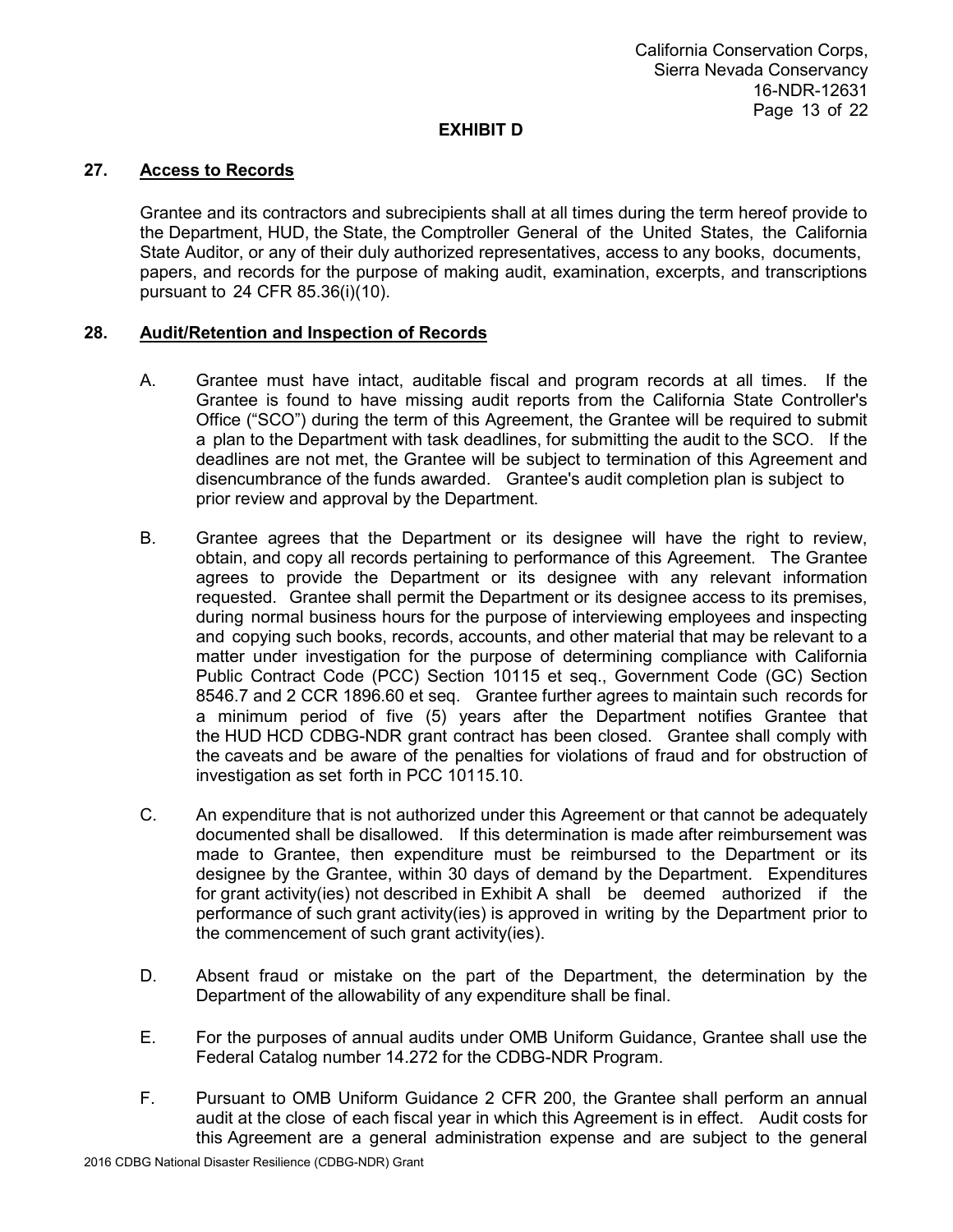#### **27. Access to Records**

Grantee and its contractors and subrecipients shall at all times during the term hereof provide to the Department, HUD, the State, the Comptroller General of the United States, the California State Auditor, or any of their duly authorized representatives, access to any books, documents, papers, and records for the purpose of making audit, examination, excerpts, and transcriptions pursuant to 24 CFR 85.36(i)(10).

### **28. Audit/Retention and Inspection of Records**

- A. Grantee must have intact, auditable fiscal and program records at all times. If the Grantee is found to have missing audit reports from the California State Controller's Office ("SCO") during the term of this Agreement, the Grantee will be required to submit a plan to the Department with task deadlines, for submitting the audit to the SCO. If the deadlines are not met, the Grantee will be subject to termination of this Agreement and disencumbrance of the funds awarded. Grantee's audit completion plan is subject to prior review and approval by the Department.
- B. Grantee agrees that the Department or its designee will have the right to review, obtain, and copy all records pertaining to performance of this Agreement. The Grantee agrees to provide the Department or its designee with any relevant information requested. Grantee shall permit the Department or its designee access to its premises, during normal business hours for the purpose of interviewing employees and inspecting and copying such books, records, accounts, and other material that may be relevant to a matter under investigation for the purpose of determining compliance with California Public Contract Code (PCC) Section 10115 et seq., Government Code (GC) Section 8546.7 and 2 CCR 1896.60 et seq. Grantee further agrees to maintain such records for a minimum period of five (5) years after the Department notifies Grantee that the HUD HCD CDBG-NDR grant contract has been closed. Grantee shall comply with the caveats and be aware of the penalties for violations of fraud and for obstruction of investigation as set forth in PCC 10115.10.
- C. An expenditure that is not authorized under this Agreement or that cannot be adequately documented shall be disallowed. If this determination is made after reimbursement was made to Grantee, then expenditure must be reimbursed to the Department or its designee by the Grantee, within 30 days of demand by the Department. Expenditures for grant activity(ies) not described in Exhibit A shall be deemed authorized if the performance of such grant activity(ies) is approved in writing by the Department prior to the commencement of such grant activity(ies).
- D. Absent fraud or mistake on the part of the Department, the determination by the Department of the allowability of any expenditure shall be final.
- E. For the purposes of annual audits under OMB Uniform Guidance, Grantee shall use the Federal Catalog number 14.272 for the CDBG-NDR Program.
- F. Pursuant to OMB Uniform Guidance 2 CFR 200, the Grantee shall perform an annual audit at the close of each fiscal year in which this Agreement is in effect. Audit costs for this Agreement are a general administration expense and are subject to the general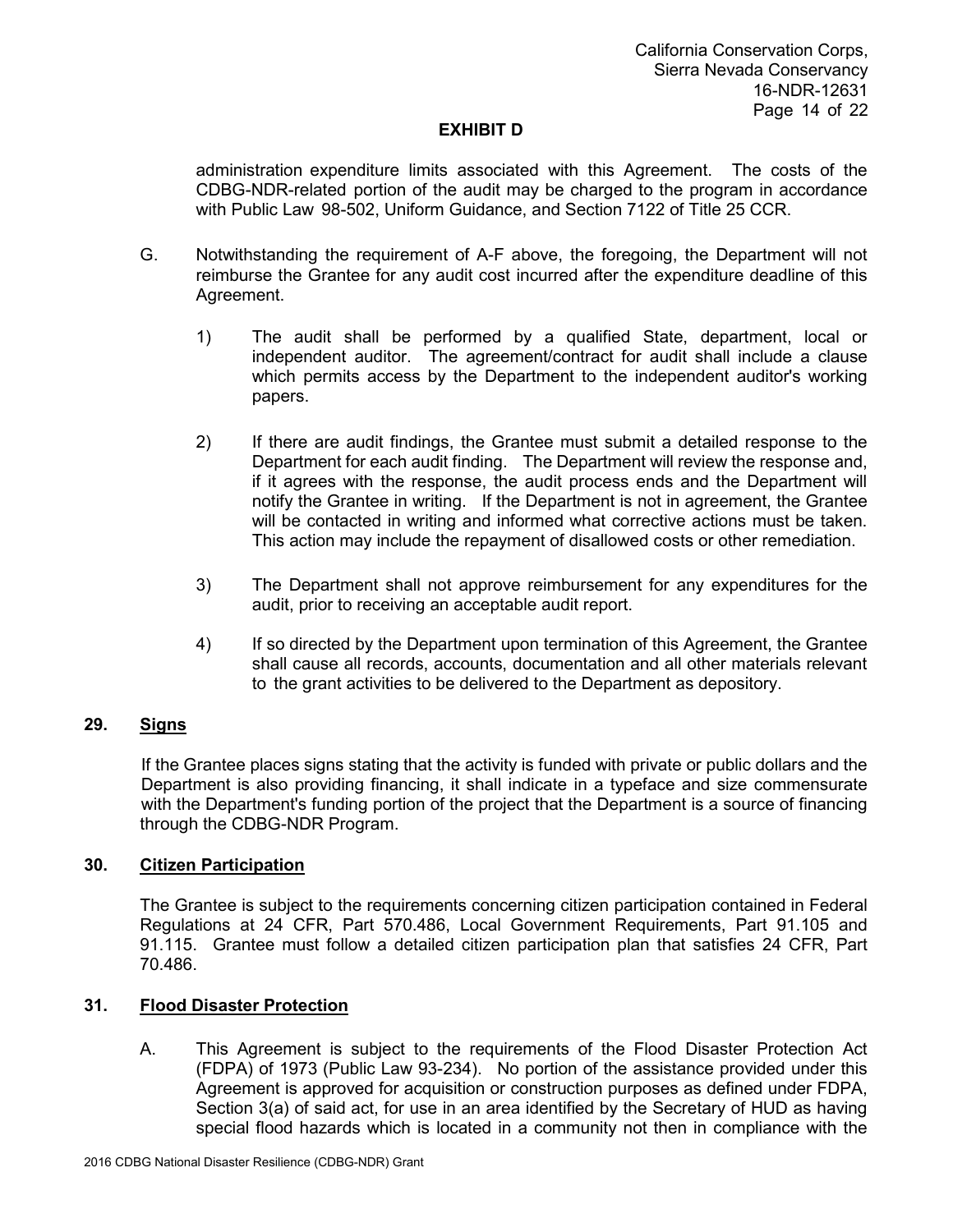administration expenditure limits associated with this Agreement. The costs of the CDBG-NDR-related portion of the audit may be charged to the program in accordance with Public Law 98-502, Uniform Guidance, and Section 7122 of Title 25 CCR.

- G. Notwithstanding the requirement of A-F above, the foregoing, the Department will not reimburse the Grantee for any audit cost incurred after the expenditure deadline of this Agreement.
	- 1) The audit shall be performed by a qualified State, department, local or independent auditor. The agreement/contract for audit shall include a clause which permits access by the Department to the independent auditor's working papers.
	- 2) If there are audit findings, the Grantee must submit a detailed response to the Department for each audit finding. The Department will review the response and, if it agrees with the response, the audit process ends and the Department will notify the Grantee in writing. If the Department is not in agreement, the Grantee will be contacted in writing and informed what corrective actions must be taken. This action may include the repayment of disallowed costs or other remediation.
	- 3) The Department shall not approve reimbursement for any expenditures for the audit, prior to receiving an acceptable audit report.
	- 4) If so directed by the Department upon termination of this Agreement, the Grantee shall cause all records, accounts, documentation and all other materials relevant to the grant activities to be delivered to the Department as depository.

## **29. Signs**

If the Grantee places signs stating that the activity is funded with private or public dollars and the Department is also providing financing, it shall indicate in a typeface and size commensurate with the Department's funding portion of the project that the Department is a source of financing through the CDBG-NDR Program.

## **30. Citizen Participation**

The Grantee is subject to the requirements concerning citizen participation contained in Federal Regulations at 24 CFR, Part 570.486, Local Government Requirements, Part 91.105 and 91.115. Grantee must follow a detailed citizen participation plan that satisfies 24 CFR, Part 70.486.

## **31. Flood Disaster Protection**

A. This Agreement is subject to the requirements of the Flood Disaster Protection Act (FDPA) of 1973 (Public Law 93-234). No portion of the assistance provided under this Agreement is approved for acquisition or construction purposes as defined under FDPA, Section 3(a) of said act, for use in an area identified by the Secretary of HUD as having special flood hazards which is located in a community not then in compliance with the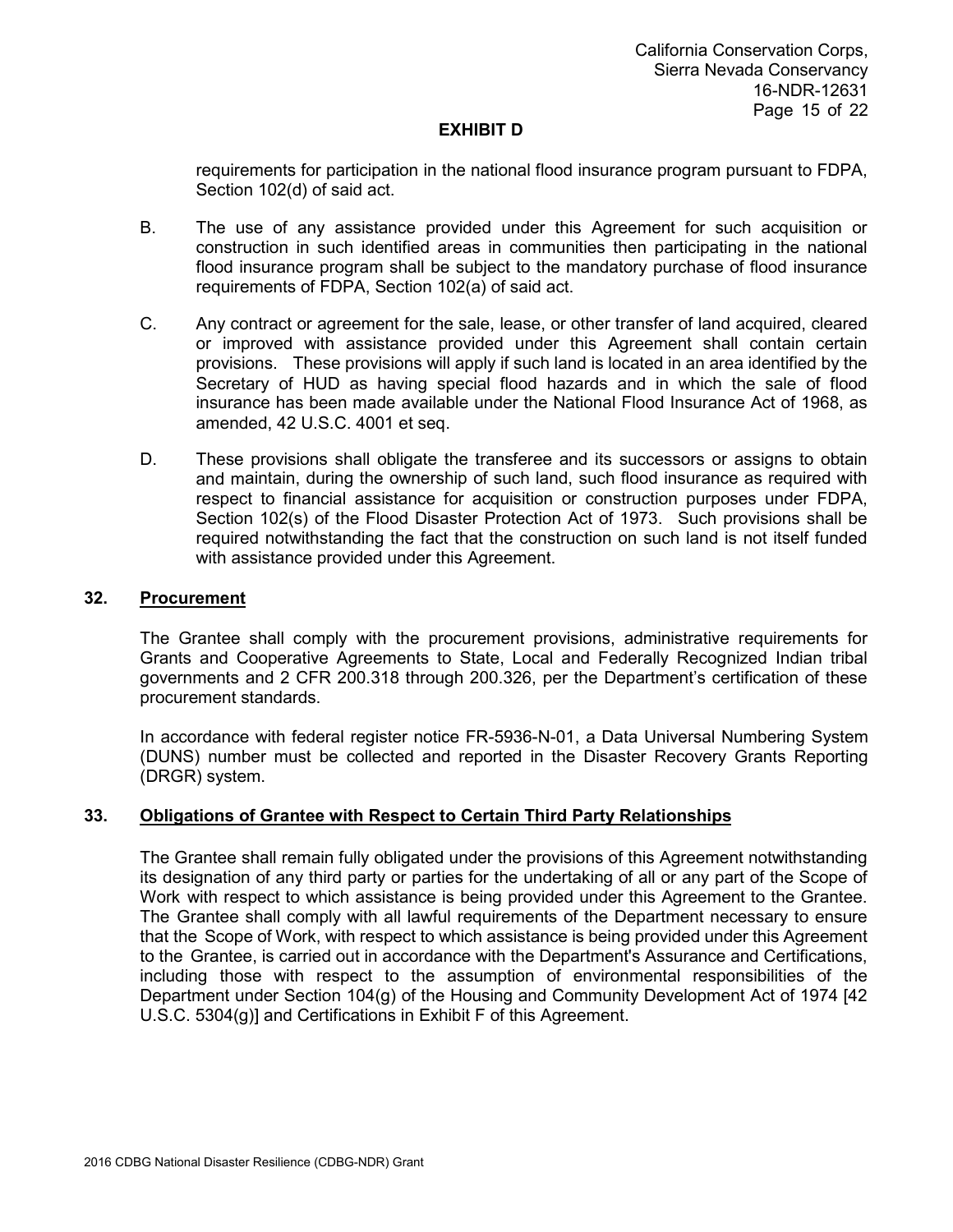requirements for participation in the national flood insurance program pursuant to FDPA, Section 102(d) of said act.

- B. The use of any assistance provided under this Agreement for such acquisition or construction in such identified areas in communities then participating in the national flood insurance program shall be subject to the mandatory purchase of flood insurance requirements of FDPA, Section 102(a) of said act.
- C. Any contract or agreement for the sale, lease, or other transfer of land acquired, cleared or improved with assistance provided under this Agreement shall contain certain provisions. These provisions will apply if such land is located in an area identified by the Secretary of HUD as having special flood hazards and in which the sale of flood insurance has been made available under the National Flood Insurance Act of 1968, as amended, 42 U.S.C. 4001 et seq.
- D. These provisions shall obligate the transferee and its successors or assigns to obtain and maintain, during the ownership of such land, such flood insurance as required with respect to financial assistance for acquisition or construction purposes under FDPA, Section 102(s) of the Flood Disaster Protection Act of 1973. Such provisions shall be required notwithstanding the fact that the construction on such land is not itself funded with assistance provided under this Agreement.

### **32. Procurement**

The Grantee shall comply with the procurement provisions, administrative requirements for Grants and Cooperative Agreements to State, Local and Federally Recognized Indian tribal governments and 2 CFR 200.318 through 200.326, per the Department's certification of these procurement standards.

In accordance with federal register notice FR-5936-N-01, a Data Universal Numbering System (DUNS) number must be collected and reported in the Disaster Recovery Grants Reporting (DRGR) system.

#### **33. Obligations of Grantee with Respect to Certain Third Party Relationships**

The Grantee shall remain fully obligated under the provisions of this Agreement notwithstanding its designation of any third party or parties for the undertaking of all or any part of the Scope of Work with respect to which assistance is being provided under this Agreement to the Grantee. The Grantee shall comply with all lawful requirements of the Department necessary to ensure that the Scope of Work, with respect to which assistance is being provided under this Agreement to the Grantee, is carried out in accordance with the Department's Assurance and Certifications, including those with respect to the assumption of environmental responsibilities of the Department under Section 104(g) of the Housing and Community Development Act of 1974 [42 U.S.C. 5304(g)] and Certifications in Exhibit F of this Agreement.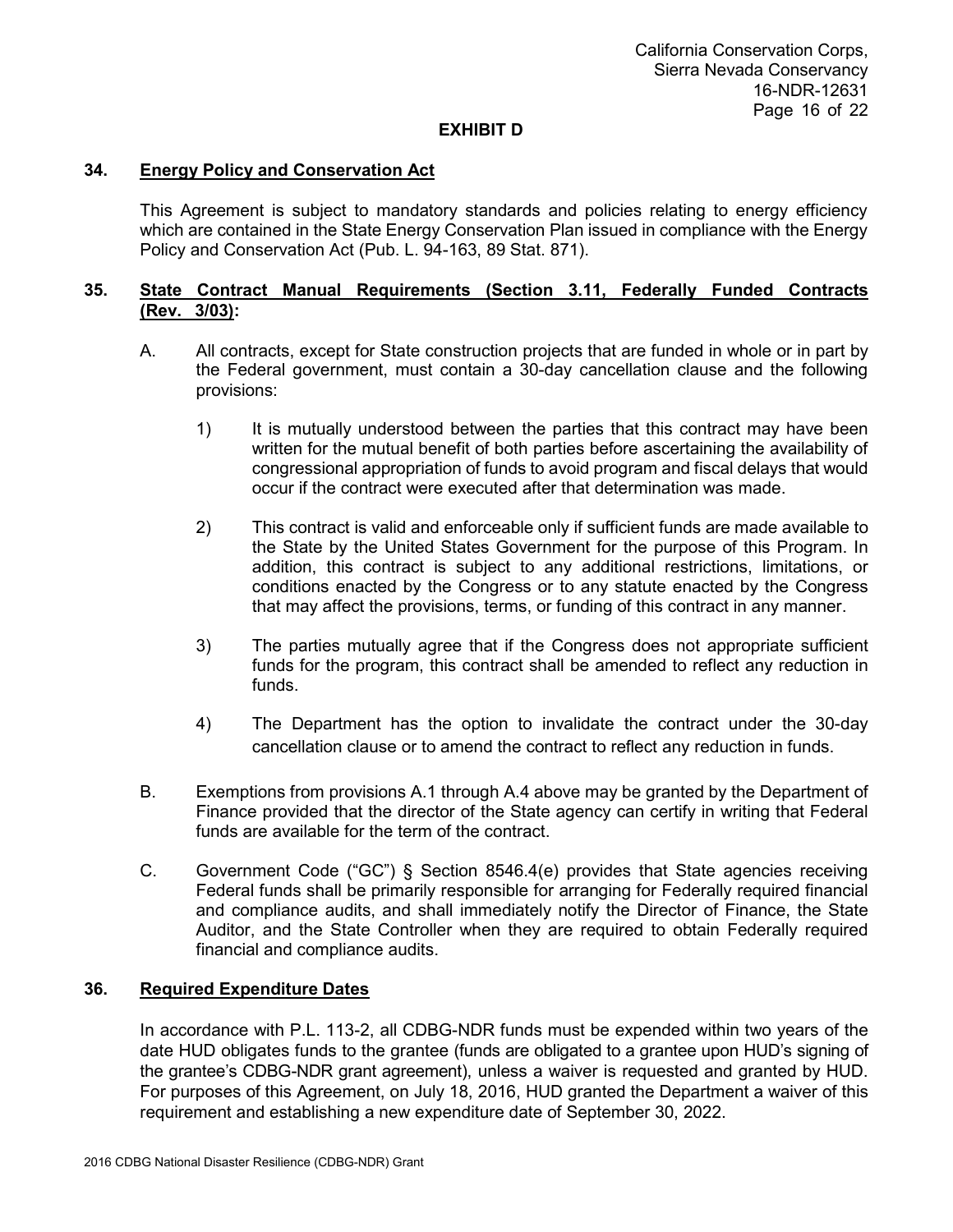### **34. Energy Policy and Conservation Act**

This Agreement is subject to mandatory standards and policies relating to energy efficiency which are contained in the State Energy Conservation Plan issued in compliance with the Energy Policy and Conservation Act (Pub. L. 94-163, 89 Stat. 871).

### **35. State Contract Manual Requirements (Section 3.11, Federally Funded Contracts (Rev. 3/03):**

- A. All contracts, except for State construction projects that are funded in whole or in part by the Federal government, must contain a 30-day cancellation clause and the following provisions:
	- 1) It is mutually understood between the parties that this contract may have been written for the mutual benefit of both parties before ascertaining the availability of congressional appropriation of funds to avoid program and fiscal delays that would occur if the contract were executed after that determination was made.
	- 2) This contract is valid and enforceable only if sufficient funds are made available to the State by the United States Government for the purpose of this Program. In addition, this contract is subject to any additional restrictions, limitations, or conditions enacted by the Congress or to any statute enacted by the Congress that may affect the provisions, terms, or funding of this contract in any manner.
	- 3) The parties mutually agree that if the Congress does not appropriate sufficient funds for the program, this contract shall be amended to reflect any reduction in funds.
	- 4) The Department has the option to invalidate the contract under the 30-day cancellation clause or to amend the contract to reflect any reduction in funds.
- B. Exemptions from provisions A.1 through A.4 above may be granted by the Department of Finance provided that the director of the State agency can certify in writing that Federal funds are available for the term of the contract.
- C. Government Code ("GC") § Section 8546.4(e) provides that State agencies receiving Federal funds shall be primarily responsible for arranging for Federally required financial and compliance audits, and shall immediately notify the Director of Finance, the State Auditor, and the State Controller when they are required to obtain Federally required financial and compliance audits.

#### **36. Required Expenditure Dates**

In accordance with P.L. 113-2, all CDBG-NDR funds must be expended within two years of the date HUD obligates funds to the grantee (funds are obligated to a grantee upon HUD's signing of the grantee's CDBG-NDR grant agreement), unless a waiver is requested and granted by HUD. For purposes of this Agreement, on July 18, 2016, HUD granted the Department a waiver of this requirement and establishing a new expenditure date of September 30, 2022.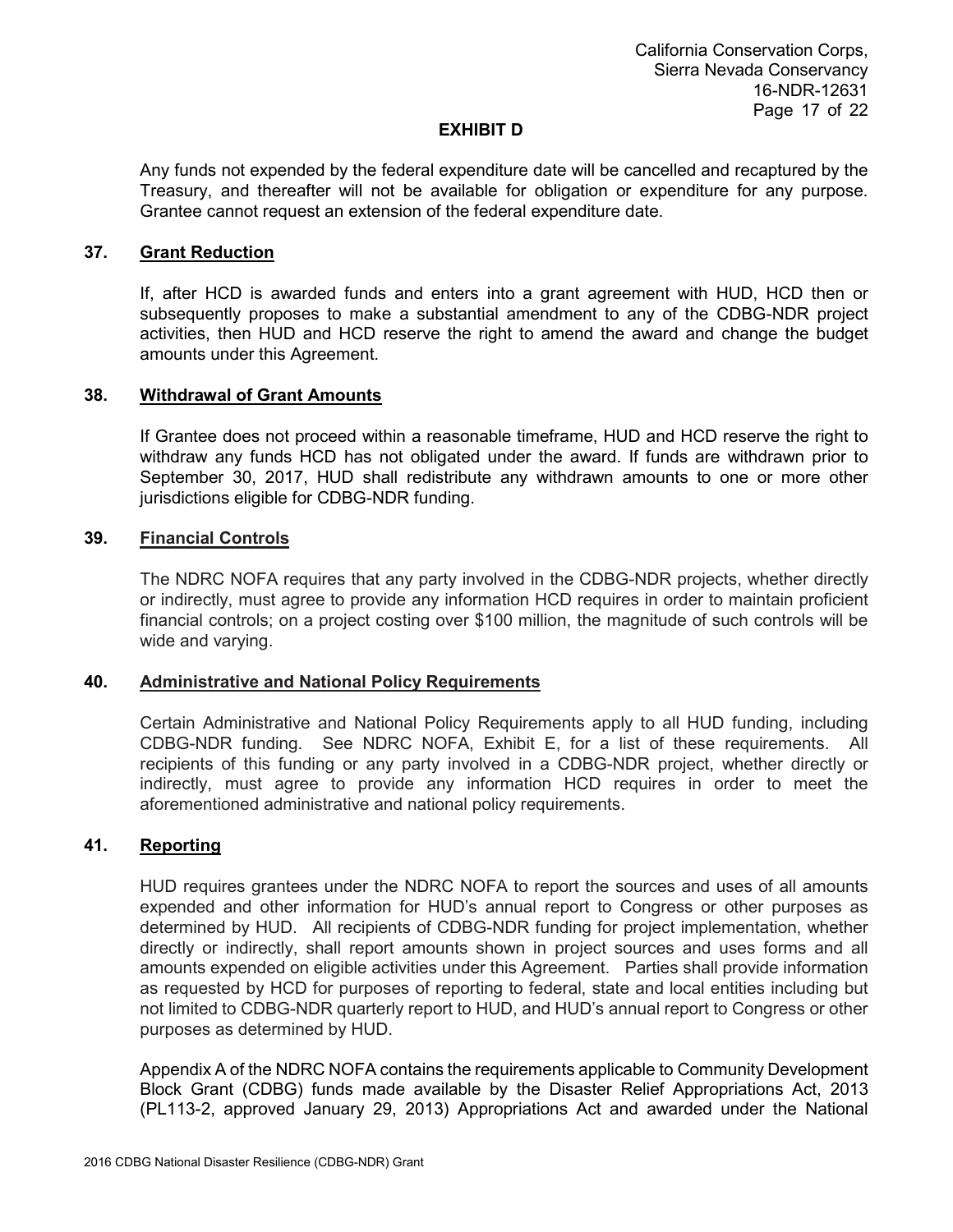Any funds not expended by the federal expenditure date will be cancelled and recaptured by the Treasury, and thereafter will not be available for obligation or expenditure for any purpose. Grantee cannot request an extension of the federal expenditure date.

### **37. Grant Reduction**

If, after HCD is awarded funds and enters into a grant agreement with HUD, HCD then or subsequently proposes to make a substantial amendment to any of the CDBG-NDR project activities, then HUD and HCD reserve the right to amend the award and change the budget amounts under this Agreement.

#### **38. Withdrawal of Grant Amounts**

If Grantee does not proceed within a reasonable timeframe, HUD and HCD reserve the right to withdraw any funds HCD has not obligated under the award. If funds are withdrawn prior to September 30, 2017, HUD shall redistribute any withdrawn amounts to one or more other jurisdictions eligible for CDBG-NDR funding.

### **39. Financial Controls**

The NDRC NOFA requires that any party involved in the CDBG-NDR projects, whether directly or indirectly, must agree to provide any information HCD requires in order to maintain proficient financial controls; on a project costing over \$100 million, the magnitude of such controls will be wide and varying.

#### **40. Administrative and National Policy Requirements**

Certain Administrative and National Policy Requirements apply to all HUD funding, including CDBG-NDR funding. See NDRC NOFA, Exhibit E, for a list of these requirements. All recipients of this funding or any party involved in a CDBG-NDR project, whether directly or indirectly, must agree to provide any information HCD requires in order to meet the aforementioned administrative and national policy requirements.

## **41. Reporting**

HUD requires grantees under the NDRC NOFA to report the sources and uses of all amounts expended and other information for HUD's annual report to Congress or other purposes as determined by HUD. All recipients of CDBG-NDR funding for project implementation, whether directly or indirectly, shall report amounts shown in project sources and uses forms and all amounts expended on eligible activities under this Agreement. Parties shall provide information as requested by HCD for purposes of reporting to federal, state and local entities including but not limited to CDBG-NDR quarterly report to HUD, and HUD's annual report to Congress or other purposes as determined by HUD.

Appendix A of the NDRC NOFA contains the requirements applicable to Community Development Block Grant (CDBG) funds made available by the Disaster Relief Appropriations Act, 2013 (PL113-2, approved January 29, 2013) Appropriations Act and awarded under the National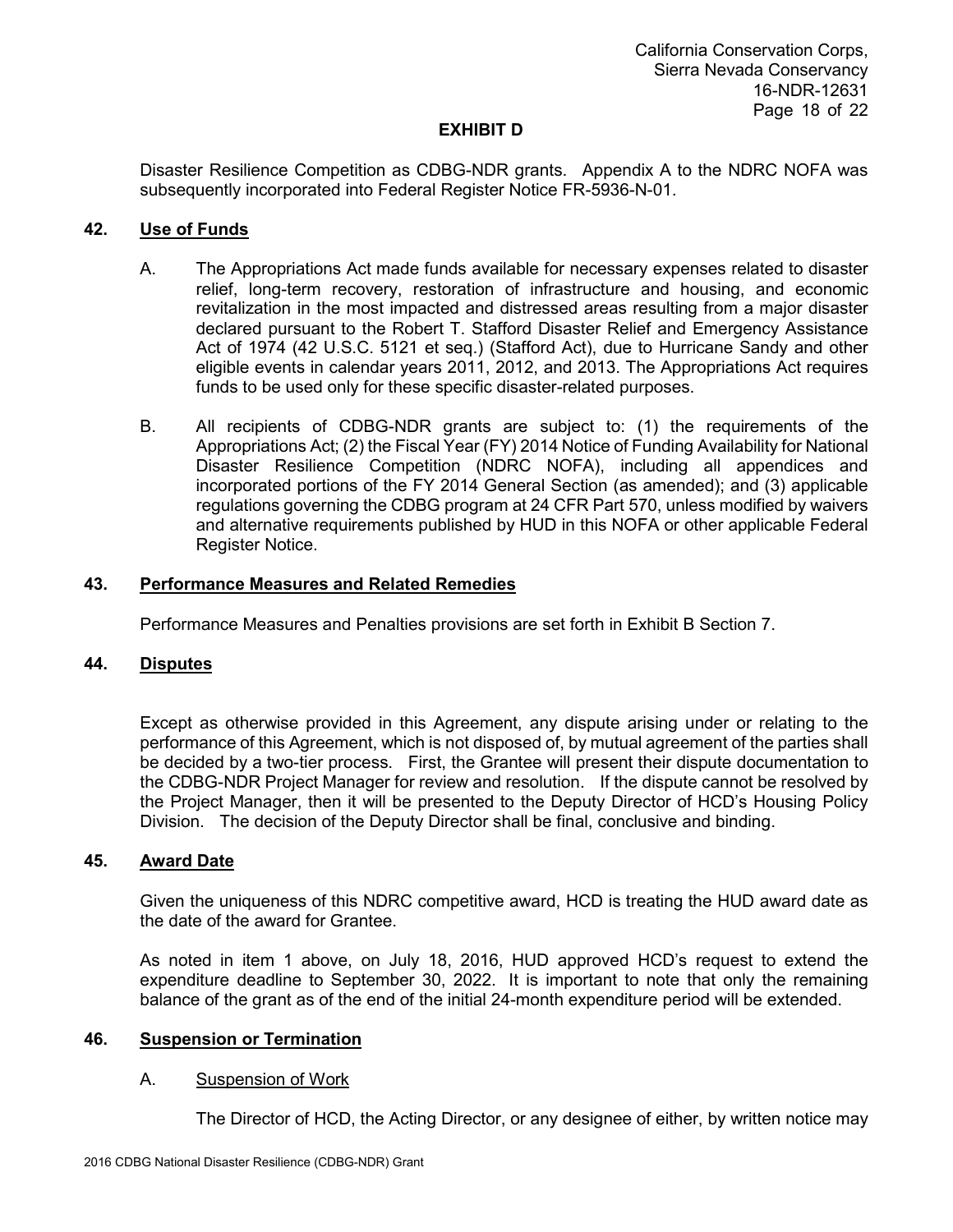Disaster Resilience Competition as CDBG-NDR grants. Appendix A to the NDRC NOFA was subsequently incorporated into Federal Register Notice FR-5936-N-01.

### **42. Use of Funds**

- A. The Appropriations Act made funds available for necessary expenses related to disaster relief, long-term recovery, restoration of infrastructure and housing, and economic revitalization in the most impacted and distressed areas resulting from a major disaster declared pursuant to the Robert T. Stafford Disaster Relief and Emergency Assistance Act of 1974 (42 U.S.C. 5121 et seq.) (Stafford Act), due to Hurricane Sandy and other eligible events in calendar years 2011, 2012, and 2013. The Appropriations Act requires funds to be used only for these specific disaster-related purposes.
- B. All recipients of CDBG-NDR grants are subject to: (1) the requirements of the Appropriations Act; (2) the Fiscal Year (FY) 2014 Notice of Funding Availability for National Disaster Resilience Competition (NDRC NOFA), including all appendices and incorporated portions of the FY 2014 General Section (as amended); and (3) applicable regulations governing the CDBG program at 24 CFR Part 570, unless modified by waivers and alternative requirements published by HUD in this NOFA or other applicable Federal Register Notice.

### **43. Performance Measures and Related Remedies**

Performance Measures and Penalties provisions are set forth in Exhibit B Section 7.

## **44. Disputes**

Except as otherwise provided in this Agreement, any dispute arising under or relating to the performance of this Agreement, which is not disposed of, by mutual agreement of the parties shall be decided by a two-tier process. First, the Grantee will present their dispute documentation to the CDBG-NDR Project Manager for review and resolution. If the dispute cannot be resolved by the Project Manager, then it will be presented to the Deputy Director of HCD's Housing Policy Division. The decision of the Deputy Director shall be final, conclusive and binding.

#### **45. Award Date**

Given the uniqueness of this NDRC competitive award, HCD is treating the HUD award date as the date of the award for Grantee.

As noted in item 1 above, on July 18, 2016, HUD approved HCD's request to extend the expenditure deadline to September 30, 2022. It is important to note that only the remaining balance of the grant as of the end of the initial 24-month expenditure period will be extended.

#### **46. Suspension or Termination**

#### A. Suspension of Work

The Director of HCD, the Acting Director, or any designee of either, by written notice may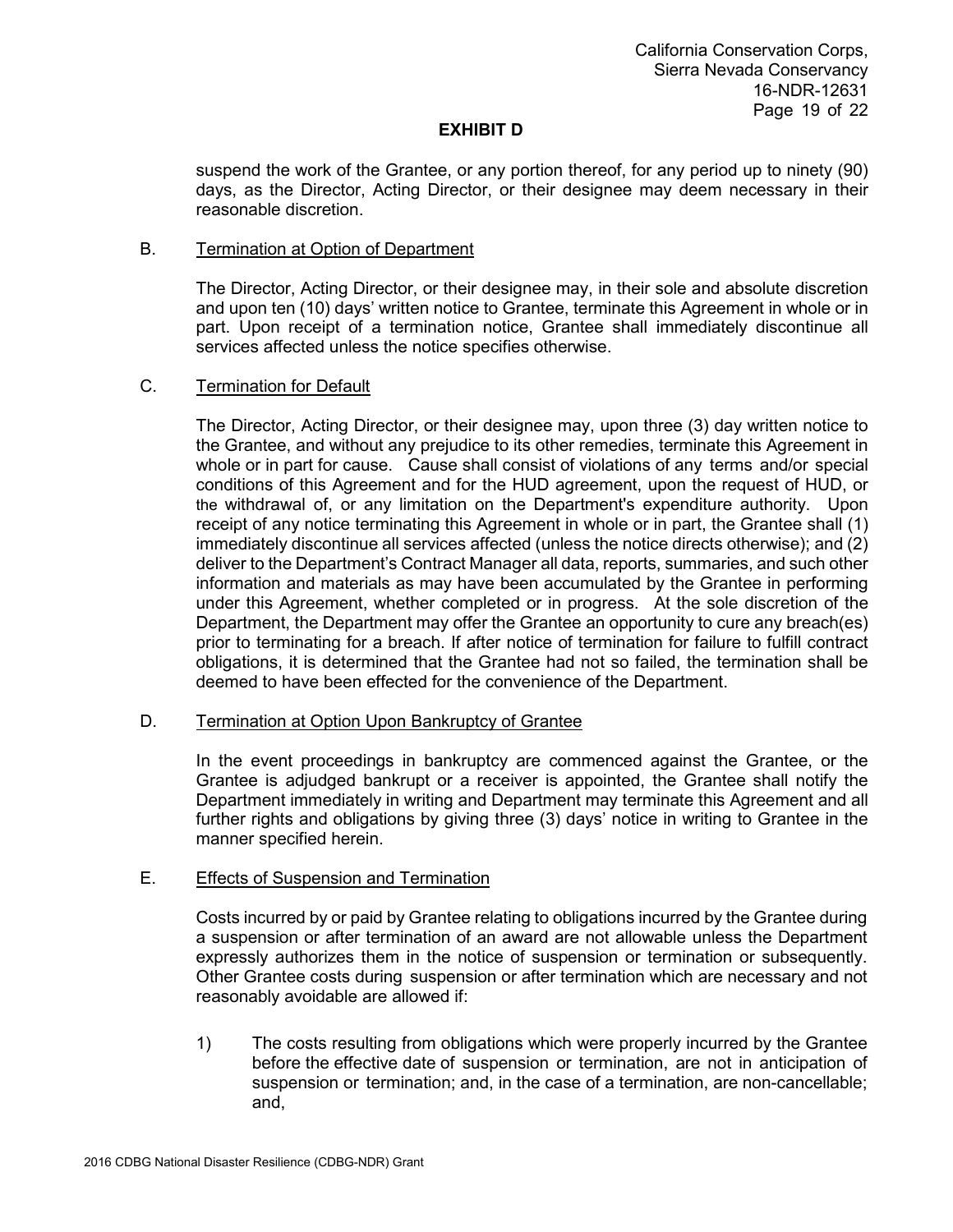suspend the work of the Grantee, or any portion thereof, for any period up to ninety (90) days, as the Director, Acting Director, or their designee may deem necessary in their reasonable discretion.

### B. Termination at Option of Department

The Director, Acting Director, or their designee may, in their sole and absolute discretion and upon ten (10) days' written notice to Grantee, terminate this Agreement in whole or in part. Upon receipt of a termination notice, Grantee shall immediately discontinue all services affected unless the notice specifies otherwise.

### C. Termination for Default

The Director, Acting Director, or their designee may, upon three (3) day written notice to the Grantee, and without any prejudice to its other remedies, terminate this Agreement in whole or in part for cause. Cause shall consist of violations of any terms and/or special conditions of this Agreement and for the HUD agreement, upon the request of HUD, or the withdrawal of, or any limitation on the Department's expenditure authority. Upon receipt of any notice terminating this Agreement in whole or in part, the Grantee shall (1) immediately discontinue all services affected (unless the notice directs otherwise); and (2) deliver to the Department's Contract Manager all data, reports, summaries, and such other information and materials as may have been accumulated by the Grantee in performing under this Agreement, whether completed or in progress. At the sole discretion of the Department, the Department may offer the Grantee an opportunity to cure any breach(es) prior to terminating for a breach. If after notice of termination for failure to fulfill contract obligations, it is determined that the Grantee had not so failed, the termination shall be deemed to have been effected for the convenience of the Department.

#### D. Termination at Option Upon Bankruptcy of Grantee

In the event proceedings in bankruptcy are commenced against the Grantee, or the Grantee is adjudged bankrupt or a receiver is appointed, the Grantee shall notify the Department immediately in writing and Department may terminate this Agreement and all further rights and obligations by giving three (3) days' notice in writing to Grantee in the manner specified herein.

#### E. Effects of Suspension and Termination

Costs incurred by or paid by Grantee relating to obligations incurred by the Grantee during a suspension or after termination of an award are not allowable unless the Department expressly authorizes them in the notice of suspension or termination or subsequently. Other Grantee costs during suspension or after termination which are necessary and not reasonably avoidable are allowed if:

1) The costs resulting from obligations which were properly incurred by the Grantee before the effective date of suspension or termination, are not in anticipation of suspension or termination; and, in the case of a termination, are non-cancellable; and,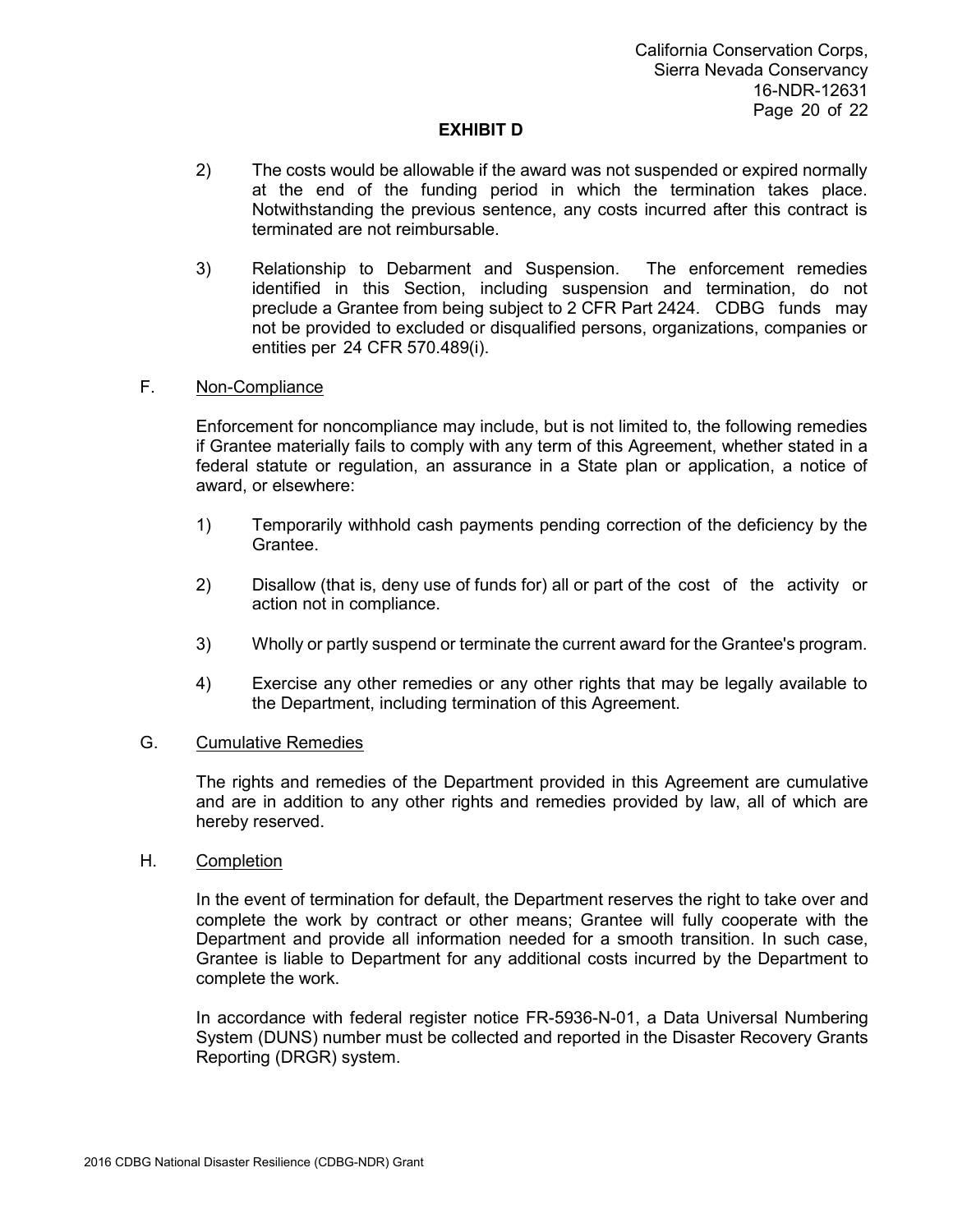- 2) The costs would be allowable if the award was not suspended or expired normally at the end of the funding period in which the termination takes place. Notwithstanding the previous sentence, any costs incurred after this contract is terminated are not reimbursable.
- 3) Relationship to Debarment and Suspension. The enforcement remedies identified in this Section, including suspension and termination, do not preclude a Grantee from being subject to 2 CFR Part 2424. CDBG funds may not be provided to excluded or disqualified persons, organizations, companies or entities per 24 CFR 570.489(i).

#### F. Non-Compliance

Enforcement for noncompliance may include, but is not limited to, the following remedies if Grantee materially fails to comply with any term of this Agreement, whether stated in a federal statute or regulation, an assurance in a State plan or application, a notice of award, or elsewhere:

- 1) Temporarily withhold cash payments pending correction of the deficiency by the Grantee.
- 2) Disallow (that is, deny use of funds for) all or part of the cost of the activity or action not in compliance.
- 3) Wholly or partly suspend or terminate the current award for the Grantee's program.
- 4) Exercise any other remedies or any other rights that may be legally available to the Department, including termination of this Agreement.

#### G. Cumulative Remedies

The rights and remedies of the Department provided in this Agreement are cumulative and are in addition to any other rights and remedies provided by law, all of which are hereby reserved.

#### H. Completion

In the event of termination for default, the Department reserves the right to take over and complete the work by contract or other means; Grantee will fully cooperate with the Department and provide all information needed for a smooth transition. In such case, Grantee is liable to Department for any additional costs incurred by the Department to complete the work.

In accordance with federal register notice FR-5936-N-01, a Data Universal Numbering System (DUNS) number must be collected and reported in the Disaster Recovery Grants Reporting (DRGR) system.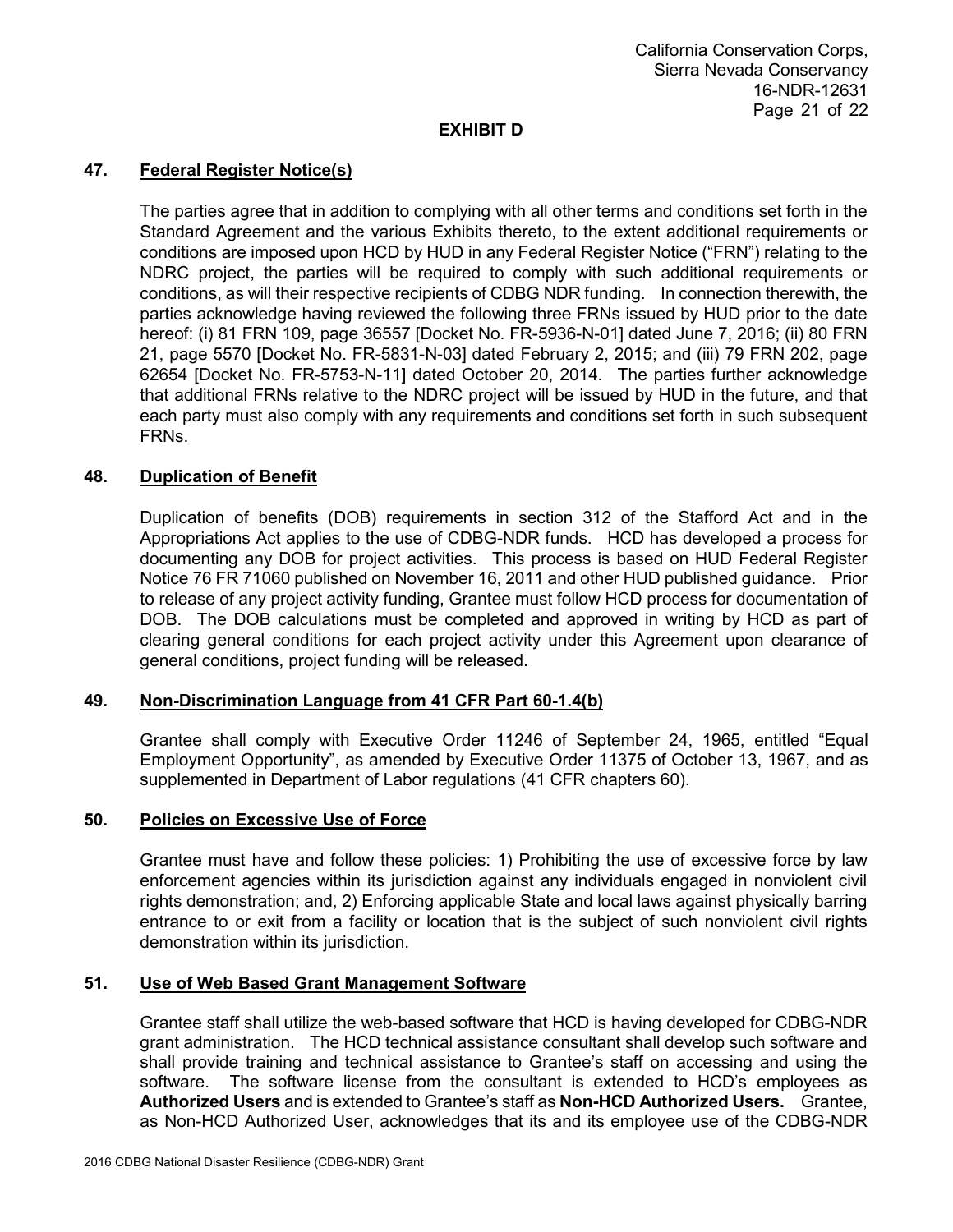### **47. Federal Register Notice(s)**

The parties agree that in addition to complying with all other terms and conditions set forth in the Standard Agreement and the various Exhibits thereto, to the extent additional requirements or conditions are imposed upon HCD by HUD in any Federal Register Notice ("FRN") relating to the NDRC project, the parties will be required to comply with such additional requirements or conditions, as will their respective recipients of CDBG NDR funding. In connection therewith, the parties acknowledge having reviewed the following three FRNs issued by HUD prior to the date hereof: (i) 81 FRN 109, page 36557 [Docket No. FR-5936-N-01] dated June 7, 2016; (ii) 80 FRN 21, page 5570 [Docket No. FR-5831-N-03] dated February 2, 2015; and (iii) 79 FRN 202, page 62654 [Docket No. FR-5753-N-11] dated October 20, 2014. The parties further acknowledge that additional FRNs relative to the NDRC project will be issued by HUD in the future, and that each party must also comply with any requirements and conditions set forth in such subsequent FRNs.

## **48. Duplication of Benefit**

Duplication of benefits (DOB) requirements in section 312 of the Stafford Act and in the Appropriations Act applies to the use of CDBG-NDR funds. HCD has developed a process for documenting any DOB for project activities. This process is based on HUD Federal Register Notice 76 FR 71060 published on November 16, 2011 and other HUD published guidance. Prior to release of any project activity funding, Grantee must follow HCD process for documentation of DOB. The DOB calculations must be completed and approved in writing by HCD as part of clearing general conditions for each project activity under this Agreement upon clearance of general conditions, project funding will be released.

#### **49. Non-Discrimination Language from 41 CFR Part 60-1.4(b)**

Grantee shall comply with Executive Order 11246 of September 24, 1965, entitled "Equal Employment Opportunity", as amended by Executive Order 11375 of October 13, 1967, and as supplemented in Department of Labor regulations (41 CFR chapters 60).

#### **50. Policies on Excessive Use of Force**

Grantee must have and follow these policies: 1) Prohibiting the use of excessive force by law enforcement agencies within its jurisdiction against any individuals engaged in nonviolent civil rights demonstration; and, 2) Enforcing applicable State and local laws against physically barring entrance to or exit from a facility or location that is the subject of such nonviolent civil rights demonstration within its jurisdiction.

#### **51. Use of Web Based Grant Management Software**

Grantee staff shall utilize the web-based software that HCD is having developed for CDBG-NDR grant administration. The HCD technical assistance consultant shall develop such software and shall provide training and technical assistance to Grantee's staff on accessing and using the software. The software license from the consultant is extended to HCD's employees as **Authorized Users** and is extended to Grantee's staff as **Non-HCD Authorized Users.** Grantee, as Non-HCD Authorized User, acknowledges that its and its employee use of the CDBG-NDR